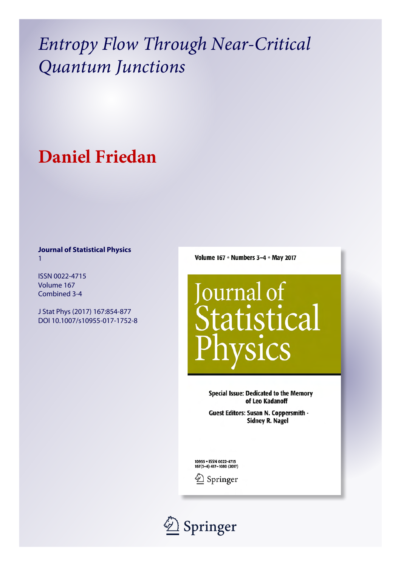# **Daniel Friedan**

# **Journal of Statistical Physics** 1

ISSN 0022-4715 Volume 167 Combined 3-4

J Stat Phys (2017) 167:854-877 DOI 10.1007/s10955-017-1752-8 Volume 167 • Numbers 3-4 • May 2017



**Special Issue: Dedicated to the Memory** of Leo Kadanoff

Guest Editors: Susan N. Coppersmith -**Sidney R. Nagel** 

10955 . ISSN 0022-4715 167(3-4) 417-1080 (2017)



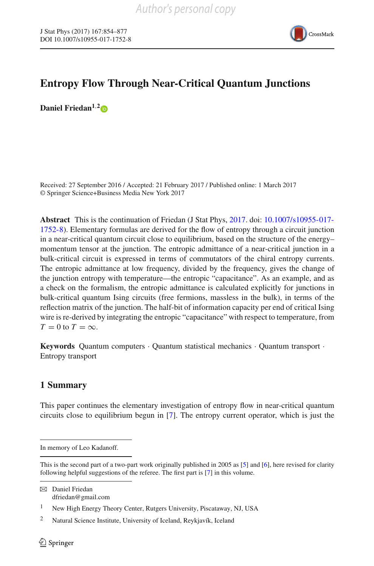

**Daniel Friedan1**,**[2](http://orcid.org/0000-0001-8664-834X)**

Received: 27 September 2016 / Accepted: 21 February 2017 / Published online: 1 March 2017 © Springer Science+Business Media New York 2017

**Abstract** This is the continuation of Friedan (J Stat Phys, [2017.](#page-24-0) doi: [10.1007/s10955-017-](http://dx.doi.org/10.1007/s10955-017-1752-8) [1752-8\)](http://dx.doi.org/10.1007/s10955-017-1752-8). Elementary formulas are derived for the flow of entropy through a circuit junction in a near-critical quantum circuit close to equilibrium, based on the structure of the energy– momentum tensor at the junction. The entropic admittance of a near-critical junction in a bulk-critical circuit is expressed in terms of commutators of the chiral entropy currents. The entropic admittance at low frequency, divided by the frequency, gives the change of the junction entropy with temperature—the entropic "capacitance". As an example, and as a check on the formalism, the entropic admittance is calculated explicitly for junctions in bulk-critical quantum Ising circuits (free fermions, massless in the bulk), in terms of the reflection matrix of the junction. The half-bit of information capacity per end of critical Ising wire is re-derived by integrating the entropic "capacitance" with respect to temperature, from  $T = 0$  to  $T = \infty$ .

**Keywords** Quantum computers · Quantum statistical mechanics · Quantum transport · Entropy transport

# **1 Summary**

This paper continues the elementary investigation of entropy flow in near-critical quantum circuits close to equilibrium begun in [\[7](#page-24-0)]. The entropy current operator, which is just the

B Daniel Friedan dfriedan@gmail.com

In memory of Leo Kadanoff.

This is the second part of a two-part work originally published in 2005 as [\[5\]](#page-24-1) and [\[6](#page-24-2)], here revised for clarity following helpful suggestions of the referee. The first part is [\[7](#page-24-0)] in this volume.

<sup>1</sup> New High Energy Theory Center, Rutgers University, Piscataway, NJ, USA

<sup>2</sup> Natural Science Institute, University of Iceland, Reykjavík, Iceland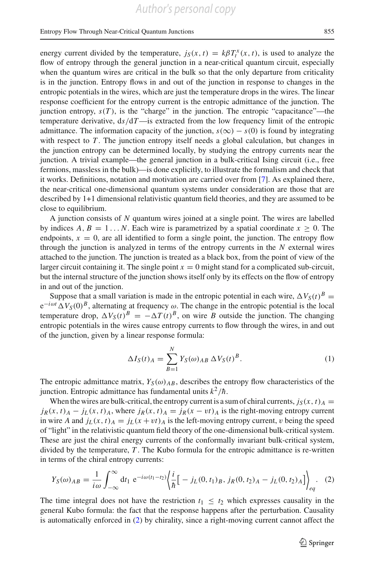energy current divided by the temperature,  $j_S(x, t) = k\beta T_t^x(x, t)$ , is used to analyze the flow of entropy through the general junction in a near-critical quantum circuit, especially when the quantum wires are critical in the bulk so that the only departure from criticality is in the junction. Entropy flows in and out of the junction in response to changes in the entropic potentials in the wires, which are just the temperature drops in the wires. The linear response coefficient for the entropy current is the entropic admittance of the junction. The junction entropy,  $s(T)$ , is the "charge" in the junction. The entropic "capacitance"—the temperature derivative, d*s*/d*T*—is extracted from the low frequency limit of the entropic admittance. The information capacity of the junction,  $s(\infty) - s(0)$  is found by integrating with respect to  $T$ . The junction entropy itself needs a global calculation, but changes in the junction entropy can be determined locally, by studying the entropy currents near the junction. A trivial example—the general junction in a bulk-critical Ising circuit (i.e., free fermions, massless in the bulk)—is done explicitly, to illustrate the formalism and check that it works. Definitions, notation and motivation are carried over from [\[7\]](#page-24-0). As explained there, the near-critical one-dimensional quantum systems under consideration are those that are described by 1+1 dimensional relativistic quantum field theories, and they are assumed to be close to equilibrium.

A junction consists of *N* quantum wires joined at a single point. The wires are labelled by indices  $A, B = 1...N$ . Each wire is parametrized by a spatial coordinate  $x \ge 0$ . The endpoints,  $x = 0$ , are all identified to form a single point, the junction. The entropy flow through the junction is analyzed in terms of the entropy currents in the *N* external wires attached to the junction. The junction is treated as a black box, from the point of view of the larger circuit containing it. The single point  $x = 0$  might stand for a complicated sub-circuit, but the internal structure of the junction shows itself only by its effects on the flow of entropy in and out of the junction.

Suppose that a small variation is made in the entropic potential in each wire,  $\Delta V_S(t)^B$  = e−*i*ω*<sup>t</sup> VS*(0)*B*, alternating at frequency ω. The change in the entropic potential is the local temperature drop,  $\Delta V_S(t)^B = -\Delta T(t)^B$ , on wire *B* outside the junction. The changing entropic potentials in the wires cause entropy currents to flow through the wires, in and out of the junction, given by a linear response formula:

$$
\Delta I_S(t)_A = \sum_{B=1}^N Y_S(\omega)_{AB} \Delta V_S(t)^B.
$$
 (1)

The entropic admittance matrix,  $Y_S(\omega)_{AB}$ , describes the entropy flow characteristics of the junction. Entropic admittance has fundamental units  $k^2/\hbar$ .

When the wires are bulk-critical, the entropy current is a sum of chiral currents,  $j_S(x, t)$   $\bar{A}$  $j_R(x, t) = j_L(x, t)$ , where  $j_R(x, t) = j_R(x - vt)$  is the right-moving entropy current in wire *A* and  $j_L(x, t) = j_L(x + vt)$  is the left-moving entropy current, v being the speed of "light" in the relativistic quantum field theory of the one-dimensional bulk-critical system. These are just the chiral energy currents of the conformally invariant bulk-critical system, divided by the temperature, *T* . The Kubo formula for the entropic admittance is re-written in terms of the chiral entropy currents:

<span id="page-2-0"></span>
$$
Y_S(\omega)_{AB} = \frac{1}{i\omega} \int_{-\infty}^{\infty} dt_1 e^{-i\omega(t_1 - t_2)} \left\{ \frac{i}{\hbar} \Big[ -j_L(0, t_1)_B, j_R(0, t_2)_A - j_L(0, t_2)_A \Big] \right\}_{eq}.
$$
 (2)

The time integral does not have the restriction  $t_1 \leq t_2$  which expresses causality in the general Kubo formula: the fact that the response happens after the perturbation. Causality is automatically enforced in [\(2\)](#page-2-0) by chirality, since a right-moving current cannot affect the

 $\circled{2}$  Springer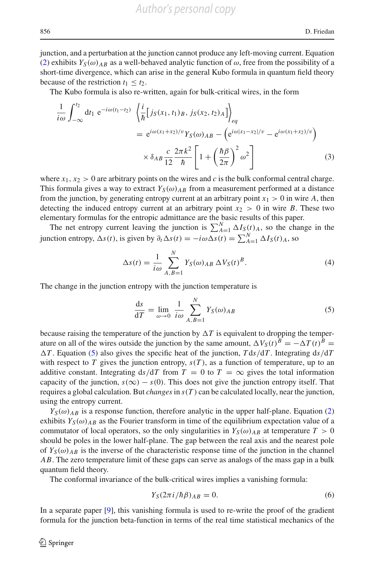junction, and a perturbation at the junction cannot produce any left-moving current. Equation [\(2\)](#page-2-0) exhibits  $Y_S(\omega)_{AB}$  as a well-behaved analytic function of  $\omega$ , free from the possibility of a short-time divergence, which can arise in the general Kubo formula in quantum field theory because of the restriction  $t_1 \leq t_2$ .

The Kubo formula is also re-written, again for bulk-critical wires, in the form

$$
\frac{1}{i\omega} \int_{-\infty}^{t_2} dt_1 e^{-i\omega(t_1 - t_2)} \left\langle \frac{i}{\hbar} \left[ j_S(x_1, t_1)_B, j_S(x_2, t_2)_A \right] \right\rangle_{eq}
$$
\n
$$
= e^{i\omega(x_1 + x_2)/v} Y_S(\omega)_{AB} - \left( e^{i\omega|x_1 - x_2|/v} - e^{i\omega(x_1 + x_2)/v} \right)
$$
\n
$$
\times \delta_{AB} \frac{c}{12} \frac{2\pi k^2}{\hbar} \left[ 1 + \left( \frac{\hbar \beta}{2\pi} \right)^2 \omega^2 \right]
$$
\n(3)

where  $x_1, x_2 > 0$  are arbitrary points on the wires and c is the bulk conformal central charge. This formula gives a way to extract  $Y_S(\omega)_{AB}$  from a measurement performed at a distance from the junction, by generating entropy current at an arbitrary point  $x_1 > 0$  in wire A, then detecting the induced entropy current at an arbitrary point  $x_2 > 0$  in wire *B*. These two elementary formulas for the entropic admittance are the basic results of this paper.

The net entropy current leaving the junction is  $\sum_{A=1}^{N} \Delta I_{S}(t)_{A}$ , so the change in the junction entropy,  $\Delta s(t)$ , is given by  $\partial_t \Delta s(t) = -i\omega \Delta s(t) = \sum_{A=1}^{N} \Delta I_S(t)A$ , so

$$
\Delta s(t) = \frac{1}{i\omega} \sum_{A,B=1}^{N} Y_S(\omega)_{AB} \Delta V_S(t)^B.
$$
 (4)

The change in the junction entropy with the junction temperature is

<span id="page-3-0"></span>
$$
\frac{\mathrm{d}s}{\mathrm{d}T} = \lim_{\omega \to 0} \frac{1}{i\omega} \sum_{A,B=1}^{N} Y_S(\omega)_{AB} \tag{5}
$$

because raising the temperature of the junction by  $\Delta T$  is equivalent to dropping the temperature on all of the wires outside the junction by the same amount,  $\Delta V_S(t)^B = -\Delta T(t)^B$  $\Delta T$ . Equation [\(5\)](#page-3-0) also gives the specific heat of the junction,  $T ds/dT$ . Integrating  $ds/dT$ with respect to *T* gives the junction entropy,  $s(T)$ , as a function of temperature, up to an additive constant. Integrating  $ds/dT$  from  $T = 0$  to  $T = \infty$  gives the total information capacity of the junction,  $s(\infty) - s(0)$ . This does not give the junction entropy itself. That requires a global calculation. But *changes* in  $s(T)$  can be calculated locally, near the junction, using the entropy current.

 $Y_S(\omega)_{AB}$  is a response function, therefore analytic in the upper half-plane. Equation [\(2\)](#page-2-0) exhibits  $Y_S(\omega)_{AB}$  as the Fourier transform in time of the equilibrium expectation value of a commutator of local operators, so the only singularities in  $Y_S(\omega)_{AB}$  at temperature  $T > 0$ should be poles in the lower half-plane. The gap between the real axis and the nearest pole of  $Y_S(\omega)_{AB}$  is the inverse of the characteristic response time of the junction in the channel *AB*. The zero temperature limit of these gaps can serve as analogs of the mass gap in a bulk quantum field theory.

The conformal invariance of the bulk-critical wires implies a vanishing formula:

$$
Y_S(2\pi i/\hbar \beta)_{AB} = 0.
$$
\n<sup>(6)</sup>

In a separate paper [\[9](#page-24-3)], this vanishing formula is used to re-write the proof of the gradient formula for the junction beta-function in terms of the real time statistical mechanics of the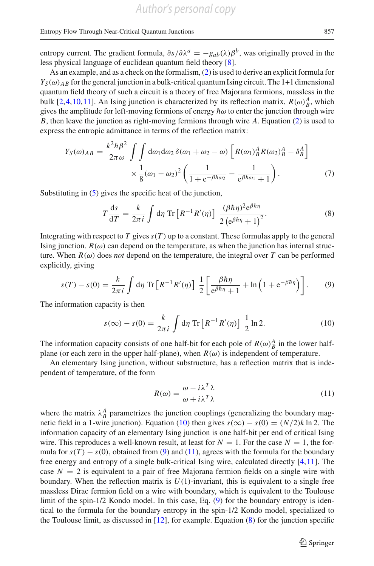entropy current. The gradient formula,  $\partial s/\partial \lambda^a = -g_{ab}(\lambda)\beta^b$ , was originally proved in the less physical language of euclidean quantum field theory [\[8](#page-24-4)].

As an example, and as a check on the formalism, [\(2\)](#page-2-0) is used to derive an explicit formula for  $Y_{\mathcal{S}}(\omega)$  *AB* for the general junction in a bulk-critical quantum Ising circuit. The 1+1 dimensional quantum field theory of such a circuit is a theory of free Majorana fermions, massless in the bulk [\[2](#page-24-5)[,4](#page-24-6)[,10,](#page-24-7)[11](#page-24-8)]. An Ising junction is characterized by its reflection matrix,  $R(\omega)_{B}^{A}$ , which gives the amplitude for left-moving fermions of energy  $\hbar\omega$  to enter the junction through wire *B*, then leave the junction as right-moving fermions through wire *A*. Equation [\(2\)](#page-2-0) is used to express the entropic admittance in terms of the reflection matrix:

$$
Y_S(\omega)_{AB} = \frac{k^2 \hbar \beta^2}{2\pi \omega} \int \int d\omega_1 d\omega_2 \, \delta(\omega_1 + \omega_2 - \omega) \left[ R(\omega_1)_B^A R(\omega_2)_B^A - \delta_B^A \right] \times \frac{1}{8} (\omega_1 - \omega_2)^2 \left( \frac{1}{1 + e^{-\beta \hbar \omega_2}} - \frac{1}{e^{\beta \hbar \omega_1} + 1} \right). \tag{7}
$$

Substituting in [\(5\)](#page-3-0) gives the specific heat of the junction,

<span id="page-4-3"></span>
$$
T\frac{\mathrm{d}s}{\mathrm{d}T} = \frac{k}{2\pi i} \int \mathrm{d}\eta \, \mathrm{Tr} \left[ R^{-1} R'(\eta) \right] \, \frac{(\beta \hbar \eta)^2 \mathrm{e}^{\beta \hbar \eta}}{2 \left( \mathrm{e}^{\beta \hbar \eta} + 1 \right)^2} . \tag{8}
$$

Integrating with respect to  $T$  gives  $s(T)$  up to a constant. These formulas apply to the general Ising junction.  $R(\omega)$  can depend on the temperature, as when the junction has internal structure. When  $R(\omega)$  does *not* depend on the temperature, the integral over *T* can be performed explicitly, giving

<span id="page-4-1"></span>
$$
s(T) - s(0) = \frac{k}{2\pi i} \int d\eta \operatorname{Tr} \left[ R^{-1} R'(\eta) \right] \frac{1}{2} \left[ \frac{\beta \hbar \eta}{e^{\beta \hbar \eta} + 1} + \ln \left( 1 + e^{-\beta \hbar \eta} \right) \right]. \tag{9}
$$

The information capacity is then

<span id="page-4-0"></span>
$$
s(\infty) - s(0) = \frac{k}{2\pi i} \int d\eta \, \text{Tr} \left[ R^{-1} R'(\eta) \right] \, \frac{1}{2} \ln 2. \tag{10}
$$

The information capacity consists of one half-bit for each pole of  $R(\omega)_{B}^{A}$  in the lower halfplane (or each zero in the upper half-plane), when  $R(\omega)$  is independent of temperature.

An elementary Ising junction, without substructure, has a reflection matrix that is independent of temperature, of the form

<span id="page-4-2"></span>
$$
R(\omega) = \frac{\omega - i\lambda^T \lambda}{\omega + i\lambda^T \lambda}
$$
\n(11)

where the matrix  $\lambda_B^A$  parametrizes the junction couplings (generalizing the boundary mag-netic field in a 1-wire junction). Equation [\(10\)](#page-4-0) then gives  $s(\infty) - s(0) = (N/2)k \ln 2$ . The information capacity of an elementary Ising junction is one half-bit per end of critical Ising wire. This reproduces a well-known result, at least for  $N = 1$ . For the case  $N = 1$ , the formula for  $s(T) - s(0)$ , obtained from [\(9\)](#page-4-1) and [\(11\)](#page-4-2), agrees with the formula for the boundary free energy and entropy of a single bulk-critical Ising wire, calculated directly [\[4](#page-24-6),[11](#page-24-8)]. The case  $N = 2$  is equivalent to a pair of free Majorana fermion fields on a single wire with boundary. When the reflection matrix is  $U(1)$ -invariant, this is equivalent to a single free massless Dirac fermion field on a wire with boundary, which is equivalent to the Toulouse limit of the spin-1/2 Kondo model. In this case, Eq. [\(9\)](#page-4-1) for the boundary entropy is identical to the formula for the boundary entropy in the spin-1/2 Kondo model, specialized to the Toulouse limit, as discussed in [\[12](#page-24-9)], for example. Equation [\(8\)](#page-4-3) for the junction specific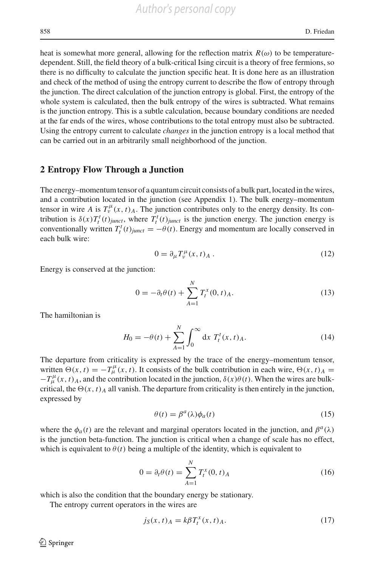heat is somewhat more general, allowing for the reflection matrix  $R(\omega)$  to be temperaturedependent. Still, the field theory of a bulk-critical Ising circuit is a theory of free fermions, so there is no difficulty to calculate the junction specific heat. It is done here as an illustration and check of the method of using the entropy current to describe the flow of entropy through the junction. The direct calculation of the junction entropy is global. First, the entropy of the whole system is calculated, then the bulk entropy of the wires is subtracted. What remains is the junction entropy. This is a subtle calculation, because boundary conditions are needed at the far ends of the wires, whose contributions to the total entropy must also be subtracted. Using the entropy current to calculate *changes* in the junction entropy is a local method that can be carried out in an arbitrarily small neighborhood of the junction.

#### **2 Entropy Flow Through a Junction**

The energy–momentum tensor of a quantum circuit consists of a bulk part, located in the wires, and a contribution located in the junction (see Appendix 1). The bulk energy–momentum tensor in wire *A* is  $T_v^{\mu}(x, t)$ <sup>*A*</sup>. The junction contributes only to the energy density. Its contribution is  $\delta(x)T_t^t(t)_{\text{junct}}$ , where  $T_t^t(t)_{\text{junct}}$  is the junction energy. The junction energy is conventionally written  $T_t^t(t)_{\text{junct}} = -\theta(t)$ . Energy and momentum are locally conserved in each bulk wire:

$$
0 = \partial_{\mu} T_{\nu}^{\mu}(x, t)_{A} . \tag{12}
$$

Energy is conserved at the junction:

<span id="page-5-0"></span>
$$
0 = -\partial_t \theta(t) + \sum_{A=1}^{N} T_t^x(0, t)_A.
$$
 (13)

The hamiltonian is

$$
H_0 = -\theta(t) + \sum_{A=1}^{N} \int_0^{\infty} dx \ T_t^t(x, t)_A.
$$
 (14)

The departure from criticality is expressed by the trace of the energy–momentum tensor, written  $\Theta(x, t) = -T^{\mu}_{\mu}(x, t)$ . It consists of the bulk contribution in each wire,  $\Theta(x, t)_{A} =$  $-T^{\mu}_{\mu}(x, t)$ <sub>*A*</sub>, and the contribution located in the junction,  $\delta(x)\theta(t)$ . When the wires are bulkcritical, the  $\Theta(x, t)$  all vanish. The departure from criticality is then entirely in the junction, expressed by

$$
\theta(t) = \beta^a(\lambda)\phi_a(t) \tag{15}
$$

where the  $\phi_a(t)$  are the relevant and marginal operators located in the junction, and  $\beta^a(\lambda)$ is the junction beta-function. The junction is critical when a change of scale has no effect, which is equivalent to  $\theta(t)$  being a multiple of the identity, which is equivalent to

$$
0 = \partial_t \theta(t) = \sum_{A=1}^{N} T_t^x(0, t)_A
$$
 (16)

which is also the condition that the boundary energy be stationary.

The entropy current operators in the wires are

$$
j_S(x,t)_A = k\beta T_t^x(x,t)_A.
$$
\n(17)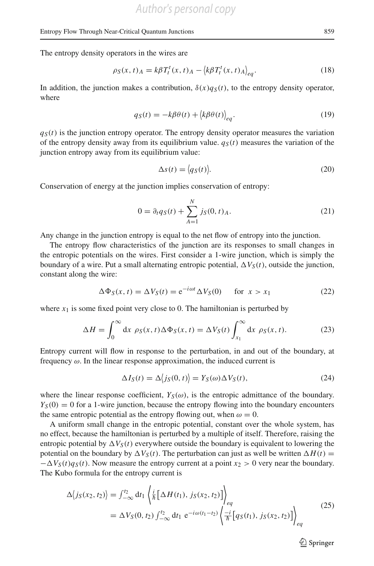The entropy density operators in the wires are

$$
\rho_S(x,t)_A = k\beta T_t^t(x,t)_A - \langle k\beta T_t^t(x,t)_A \rangle_{eq}.
$$
\n(18)

In addition, the junction makes a contribution,  $\delta(x)q_S(t)$ , to the entropy density operator, where

$$
q_S(t) = -k\beta\theta(t) + \langle k\beta\theta(t) \rangle_{eq}.
$$
\n(19)

 $q<sub>S</sub>(t)$  is the junction entropy operator. The entropy density operator measures the variation of the entropy density away from its equilibrium value.  $q<sub>S</sub>(t)$  measures the variation of the junction entropy away from its equilibrium value:

$$
\Delta s(t) = \langle q_S(t) \rangle. \tag{20}
$$

Conservation of energy at the junction implies conservation of entropy:

$$
0 = \partial_t q_S(t) + \sum_{A=1}^{N} j_S(0, t)_A.
$$
 (21)

Any change in the junction entropy is equal to the net flow of entropy into the junction.

The entropy flow characteristics of the junction are its responses to small changes in the entropic potentials on the wires. First consider a 1-wire junction, which is simply the boundary of a wire. Put a small alternating entropic potential,  $\Delta V_s(t)$ , outside the junction, constant along the wire:

$$
\Delta \Phi_S(x, t) = \Delta V_S(t) = e^{-i\omega t} \Delta V_S(0) \quad \text{for } x > x_1 \tag{22}
$$

where  $x_1$  is some fixed point very close to 0. The hamiltonian is perturbed by

$$
\Delta H = \int_0^\infty dx \, \rho_S(x, t) \Delta \Phi_S(x, t) = \Delta V_S(t) \int_{x_1}^\infty dx \, \rho_S(x, t). \tag{23}
$$

Entropy current will flow in response to the perturbation, in and out of the boundary, at frequency  $\omega$ . In the linear response approximation, the induced current is

$$
\Delta I_S(t) = \Delta \langle j_S(0, t) \rangle = Y_S(\omega) \Delta V_S(t), \tag{24}
$$

where the linear response coefficient,  $Y_S(\omega)$ , is the entropic admittance of the boundary.  $Y<sub>S</sub>(0) = 0$  for a 1-wire junction, because the entropy flowing into the boundary encounters the same entropic potential as the entropy flowing out, when  $\omega = 0$ .

A uniform small change in the entropic potential, constant over the whole system, has no effect, because the hamiltonian is perturbed by a multiple of itself. Therefore, raising the entropic potential by  $\Delta V_S(t)$  everywhere outside the boundary is equivalent to lowering the potential on the boundary by  $\Delta V_S(t)$ . The perturbation can just as well be written  $\Delta H(t)$  =  $-\Delta V_S(t)q_S(t)$ . Now measure the entropy current at a point  $x_2 > 0$  very near the boundary. The Kubo formula for the entropy current is

$$
\Delta \langle j_S(x_2, t_2) \rangle = \int_{-\infty}^{t_2} dt_1 \left\langle \frac{i}{\hbar} \left[ \Delta H(t_1), j_S(x_2, t_2) \right] \right\rangle_{eq}
$$
  
=  $\Delta V_S(0, t_2) \int_{-\infty}^{t_2} dt_1 e^{-i\omega(t_1 - t_2)} \left\langle \frac{-i}{\hbar} \left[ q_S(t_1), j_S(x_2, t_2) \right] \right\rangle_{eq}$  (25)

 $\circled{2}$  Springer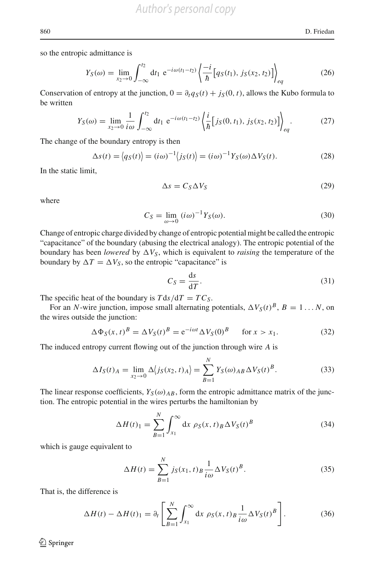so the entropic admittance is

$$
Y_S(\omega) = \lim_{x_2 \to 0} \int_{-\infty}^{t_2} dt_1 \ e^{-i\omega(t_1 - t_2)} \left\{ \frac{-i}{\hbar} \left[ q_S(t_1), j_S(x_2, t_2) \right] \right\}_{eq}
$$
 (26)

Conservation of entropy at the junction,  $0 = \partial_t q_S(t) + j_S(0, t)$ , allows the Kubo formula to be written

$$
Y_S(\omega) = \lim_{x_2 \to 0} \frac{1}{i\omega} \int_{-\infty}^{t_2} dt_1 \ e^{-i\omega(t_1 - t_2)} \left\{ \frac{i}{\hbar} \left[ j_S(0, t_1), j_S(x_2, t_2) \right] \right\}_{eq} . \tag{27}
$$

The change of the boundary entropy is then

$$
\Delta s(t) = \langle q_S(t) \rangle = (i\omega)^{-1} \langle j_S(t) \rangle = (i\omega)^{-1} Y_S(\omega) \Delta V_S(t). \tag{28}
$$

In the static limit,

$$
\Delta s = C_S \Delta V_S \tag{29}
$$

where

$$
C_S = \lim_{\omega \to 0} \left( i\omega \right)^{-1} Y_S(\omega). \tag{30}
$$

Change of entropic charge divided by change of entropic potential might be called the entropic "capacitance" of the boundary (abusing the electrical analogy). The entropic potential of the boundary has been *lowered* by  $\Delta V_s$ , which is equivalent to *raising* the temperature of the boundary by  $\Delta T = \Delta V_S$ , so the entropic "capacitance" is

$$
C_S = \frac{\mathrm{d}s}{\mathrm{d}T}.\tag{31}
$$

The specific heat of the boundary is  $T ds/dT = TC_S$ .

For an *N*-wire junction, impose small alternating potentials,  $\Delta V_S(t)^B$ ,  $B = 1...N$ , on the wires outside the junction:

$$
\Delta \Phi_S(x, t)^B = \Delta V_S(t)^B = e^{-i\omega t} \Delta V_S(0)^B \quad \text{for } x > x_1.
$$
 (32)

The induced entropy current flowing out of the junction through wire *A* is

$$
\Delta I_S(t)_A = \lim_{x_2 \to 0} \Delta \langle j_S(x_2, t)_A \rangle = \sum_{B=1}^N Y_S(\omega)_{AB} \Delta V_S(t)^B.
$$
 (33)

The linear response coefficients,  $Y_S(\omega)_{AB}$ , form the entropic admittance matrix of the junction. The entropic potential in the wires perturbs the hamiltonian by

$$
\Delta H(t)_1 = \sum_{B=1}^N \int_{x_1}^\infty dx \, \rho_S(x, t)_B \Delta V_S(t)^B \tag{34}
$$

which is gauge equivalent to

$$
\Delta H(t) = \sum_{B=1}^{N} j_S(x_1, t)_B \frac{1}{i\omega} \Delta V_S(t)^B.
$$
\n(35)

That is, the difference is

$$
\Delta H(t) - \Delta H(t)_1 = \partial_t \left[ \sum_{B=1}^N \int_{x_1}^\infty dx \, \rho_S(x, t)_B \frac{1}{i\omega} \Delta V_S(t)^B \right]. \tag{36}
$$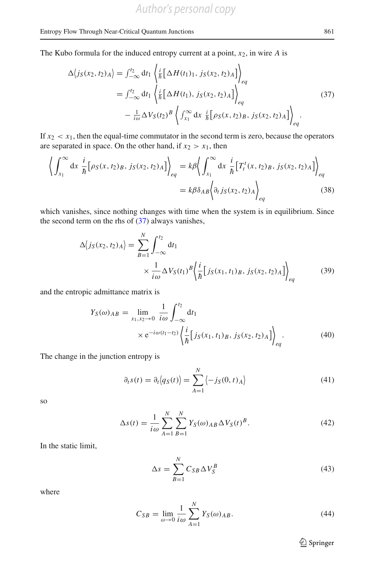The Kubo formula for the induced entropy current at a point, *x*2, in wire *A* is

<span id="page-8-0"></span>
$$
\Delta \langle j_{S}(x_{2}, t_{2})_{A} \rangle = \int_{-\infty}^{t_{2}} dt_{1} \left\langle \frac{i}{\hbar} \Big[ \Delta H(t_{1})_{1}, j_{S}(x_{2}, t_{2})_{A} \Big] \right\rangle_{eq}
$$
\n
$$
= \int_{-\infty}^{t_{2}} dt_{1} \left\langle \frac{i}{\hbar} \Big[ \Delta H(t_{1}), j_{S}(x_{2}, t_{2})_{A} \Big] \right\rangle_{eq}
$$
\n
$$
- \frac{1}{i\omega} \Delta V_{S}(t_{2})^{B} \left\langle \int_{x_{1}}^{\infty} dx \frac{i}{\hbar} \Big[ \rho_{S}(x, t_{2})_{B}, j_{S}(x_{2}, t_{2})_{A} \Big] \right\rangle_{eq}.
$$
\n(37)

If  $x_2 < x_1$ , then the equal-time commutator in the second term is zero, because the operators are separated in space. On the other hand, if  $x_2 > x_1$ , then

$$
\left\langle \int_{x_1}^{\infty} dx \frac{i}{\hbar} \left[ \rho_S(x, t_2)_B, j_S(x_2, t_2)_A \right] \right\rangle_{eq} = k\beta \left\langle \int_{x_1}^{\infty} dx \frac{i}{\hbar} \left[ T_t^t(x, t_2)_B, j_S(x_2, t_2)_A \right] \right\rangle_{eq}
$$

$$
= k\beta \delta_{AB} \left\langle \partial_t j_S(x_2, t_2)_A \right\rangle_{eq}
$$
(38)

which vanishes, since nothing changes with time when the system is in equilibrium. Since the second term on the rhs of [\(37\)](#page-8-0) always vanishes,

$$
\Delta \langle j_S(x_2, t_2)_{A} \rangle = \sum_{B=1}^{N} \int_{-\infty}^{t_2} dt_1
$$
  
 
$$
\times \frac{1}{i\omega} \Delta V_S(t_1)^B \Biggl\langle \frac{i}{\hbar} \Bigl[ j_S(x_1, t_1)_B, j_S(x_2, t_2)_A \Bigr] \Biggr\rangle_{eq}
$$
 (39)

and the entropic admittance matrix is

<span id="page-8-1"></span>
$$
Y_S(\omega)_{AB} = \lim_{x_1, x_2 \to 0} \frac{1}{i\omega} \int_{-\infty}^{t_2} dt_1
$$
  
× e<sup>-iω(t\_1-t\_2)</sup>  $\left\{ \frac{i}{\hbar} [j_S(x_1, t_1)_B, j_S(x_2, t_2)_A] \right\}_{eq}$ . (40)

The change in the junction entropy is

$$
\partial_t s(t) = \partial_t \langle q_S(t) \rangle = \sum_{A=1}^N \langle -j_S(0, t)_A \rangle \tag{41}
$$

so

$$
\Delta s(t) = \frac{1}{i\omega} \sum_{A=1}^{N} \sum_{B=1}^{N} Y_S(\omega)_{AB} \Delta V_S(t)^B.
$$
 (42)

In the static limit,

$$
\Delta s = \sum_{B=1}^{N} C_{SB} \Delta V_S^B \tag{43}
$$

where

$$
C_{SB} = \lim_{\omega \to 0} \frac{1}{i\omega} \sum_{A=1}^{N} Y_S(\omega)_{AB}.
$$
 (44)

 $\hat{2}$  Springer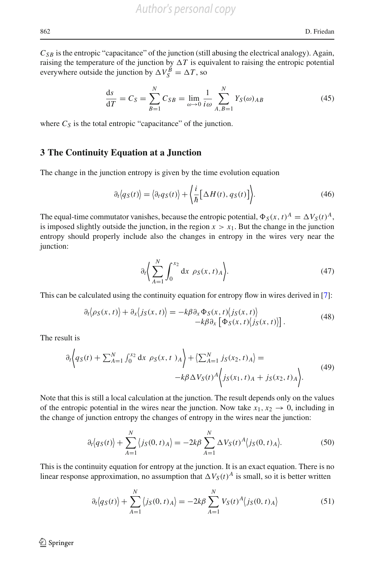$C_{SB}$  is the entropic "capacitance" of the junction (still abusing the electrical analogy). Again, raising the temperature of the junction by  $\Delta T$  is equivalent to raising the entropic potential everywhere outside the junction by  $\Delta V_S^B = \Delta T$ , so

$$
\frac{ds}{dT} = C_S = \sum_{B=1}^{N} C_{SB} = \lim_{\omega \to 0} \frac{1}{i\omega} \sum_{A,B=1}^{N} Y_S(\omega)_{AB}
$$
(45)

where  $C_S$  is the total entropic "capacitance" of the junction.

## **3 The Continuity Equation at a Junction**

The change in the junction entropy is given by the time evolution equation

$$
\partial_t \langle q_S(t) \rangle = \langle \partial_t q_S(t) \rangle + \langle \frac{i}{\hbar} \big[ \Delta H(t), q_S(t) \big] \rangle.
$$
 (46)

The equal-time commutator vanishes, because the entropic potential,  $\Phi_S(x, t)^A = \Delta V_S(t)^A$ , is imposed slightly outside the junction, in the region  $x > x_1$ . But the change in the junction entropy should properly include also the changes in entropy in the wires very near the junction:

$$
\partial_t \bigg( \sum_{A=1}^N \int_0^{x_2} \mathrm{d}x \, \rho_S(x, t)_A \bigg). \tag{47}
$$

This can be calculated using the continuity equation for entropy flow in wires derived in [\[7](#page-24-0)]:

$$
\partial_t \langle \rho_S(x, t) \rangle + \partial_x \langle j_S(x, t) \rangle = -k \beta \partial_x \Phi_S(x, t) \langle j_S(x, t) \rangle \n- k \beta \partial_x \left[ \Phi_S(x, t) \langle j_S(x, t) \rangle \right].
$$
\n(48)

The result is

$$
\partial_t \left\{ q_S(t) + \sum_{A=1}^N \int_0^{x_2} dx \, \rho_S(x, t) \, A \right\} + \left\langle \sum_{A=1}^N j_S(x_2, t) \, A \right\rangle = -k \beta \Delta V_S(t)^A \left\{ j_S(x_1, t) \, A + j_S(x_2, t) \, A \right\}.
$$
\n(49)

Note that this is still a local calculation at the junction. The result depends only on the values of the entropic potential in the wires near the junction. Now take  $x_1, x_2 \rightarrow 0$ , including in the change of junction entropy the changes of entropy in the wires near the junction:

$$
\partial_t \langle q_S(t) \rangle + \sum_{A=1}^N \langle j_S(0, t)_A \rangle = -2k\beta \sum_{A=1}^N \Delta V_S(t)^A \langle j_S(0, t)_A \rangle.
$$
 (50)

This is the continuity equation for entropy at the junction. It is an exact equation. There is no linear response approximation, no assumption that  $\Delta V_S(t)^A$  is small, so it is better written

$$
\partial_t \langle q_S(t) \rangle + \sum_{A=1}^N \langle j_S(0, t)_A \rangle = -2k\beta \sum_{A=1}^N V_S(t)^A \langle j_S(0, t)_A \rangle \tag{51}
$$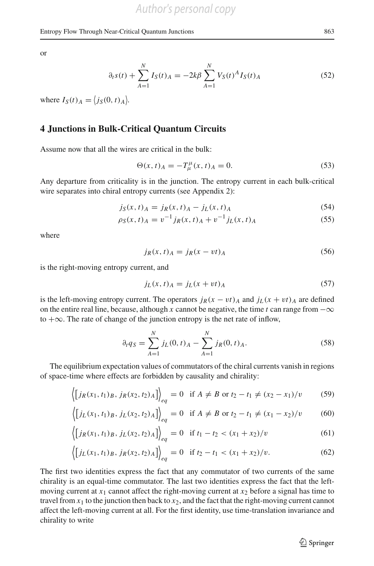or

$$
\partial_t s(t) + \sum_{A=1}^N I_S(t)_A = -2k\beta \sum_{A=1}^N V_S(t)^A I_S(t)_A
$$
\n(52)

where  $I_S(t)_A = \langle j_S(0, t)_A \rangle$ .

# **4 Junctions in Bulk-Critical Quantum Circuits**

Assume now that all the wires are critical in the bulk:

$$
\Theta(x,t)_A = -T^{\mu}_{\mu}(x,t)_A = 0.
$$
\n(53)

Any departure from criticality is in the junction. The entropy current in each bulk-critical wire separates into chiral entropy currents (see Appendix 2):

$$
j_S(x, t)_A = j_R(x, t)_A - j_L(x, t)_A
$$
\n(54)

$$
\rho_S(x,t)_A = v^{-1} j_R(x,t)_A + v^{-1} j_L(x,t)_A \tag{55}
$$

where

$$
j_R(x, t)_A = j_R(x - vt)_A
$$
\n(56)

is the right-moving entropy current, and

$$
j_L(x, t)_A = j_L(x + vt)_A \tag{57}
$$

is the left-moving entropy current. The operators  $j_R(x - vt)$ <sup>*A*</sup> and  $j_L(x + vt)$ <sup>*A*</sup> are defined on the entire real line, because, although *x* cannot be negative, the time *t* can range from  $-\infty$ to  $+\infty$ . The rate of change of the junction entropy is the net rate of inflow,

<span id="page-10-1"></span>
$$
\partial_t q_S = \sum_{A=1}^N j_L(0, t)_A - \sum_{A=1}^N j_R(0, t)_A.
$$
 (58)

The equilibrium expectation values of commutators of the chiral currents vanish in regions of space-time where effects are forbidden by causality and chirality:

<span id="page-10-0"></span>
$$
\langle [j_R(x_1, t_1)_B, j_R(x_2, t_2)_A] \rangle_{eq} = 0 \quad \text{if } A \neq B \text{ or } t_2 - t_1 \neq (x_2 - x_1)/v \tag{59}
$$

$$
\langle [j_L(x_1, t_1)_B, j_L(x_2, t_2)_A] \rangle_{eq} = 0 \quad \text{if } A \neq B \text{ or } t_2 - t_1 \neq (x_1 - x_2)/v \tag{60}
$$

$$
\langle [j_R(x_1, t_1)_B, j_L(x_2, t_2)_A] \rangle_{eq} = 0 \quad \text{if } t_1 - t_2 < (x_1 + x_2)/v \tag{61}
$$

$$
\langle [j_L(x_1, t_1)_B, j_R(x_2, t_2)_A] \rangle_{eq} = 0 \quad \text{if } t_2 - t_1 < (x_1 + x_2)/v. \tag{62}
$$

The first two identities express the fact that any commutator of two currents of the same chirality is an equal-time commutator. The last two identities express the fact that the leftmoving current at  $x_1$  cannot affect the right-moving current at  $x_2$  before a signal has time to travel from  $x_1$  to the junction then back to  $x_2$ , and the fact that the right-moving current cannot affect the left-moving current at all. For the first identity, use time-translation invariance and chirality to write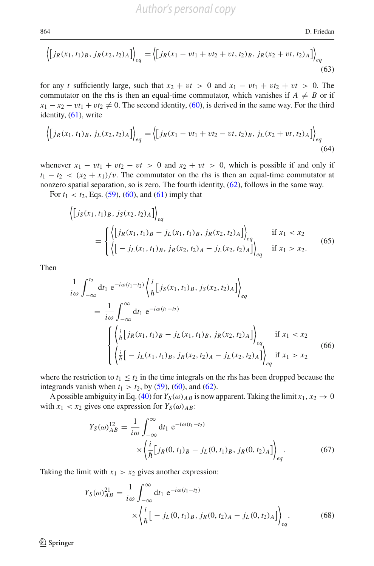864 D. Friedan

$$
\left\langle \left[ j_R(x_1, t_1)_B, j_R(x_2, t_2)_A \right] \right\rangle_{eq} = \left\langle \left[ j_R(x_1 - vt_1 + vt_2 + vt, t_2)_B, j_R(x_2 + vt, t_2)_A \right] \right\rangle_{eq} \tag{63}
$$

for any *t* sufficiently large, such that  $x_2 + vt > 0$  and  $x_1 - vt_1 + vt_2 + vt > 0$ . The commutator on the rhs is then an equal-time commutator, which vanishes if  $A \neq B$  or if  $x_1 - x_2 - vt_1 + vt_2 \neq 0$ . The second identity, [\(60\)](#page-10-0), is derived in the same way. For the third identity, [\(61\)](#page-10-0), write

$$
\langle [j_R(x_1, t_1)_B, j_L(x_2, t_2)_A] \rangle_{eq} = \langle [j_R(x_1 - vt_1 + vt_2 - vt, t_2)_B, j_L(x_2 + vt, t_2)_A] \rangle_{eq}
$$
\n(64)

whenever  $x_1 - vt_1 + vt_2 - vt > 0$  and  $x_2 + vt > 0$ , which is possible if and only if  $t_1 - t_2 < (x_2 + x_1)/v$ . The commutator on the rhs is then an equal-time commutator at nonzero spatial separation, so is zero. The fourth identity, [\(62\)](#page-10-0), follows in the same way.

For  $t_1 < t_2$ , Eqs. [\(59\)](#page-10-0), [\(60\)](#page-10-0), and [\(61\)](#page-10-0) imply that

$$
\left\{ [j_S(x_1, t_1)_B, j_S(x_2, t_2)_A] \right\}_{eq} = \begin{cases} \left\langle [j_R(x_1, t_1)_B - j_L(x_1, t_1)_B, j_R(x_2, t_2)_A] \right\rangle_{eq} & \text{if } x_1 < x_2\\ \left\langle [-j_L(x_1, t_1)_B, j_R(x_2, t_2)_A - j_L(x_2, t_2)_A] \right\rangle_{eq} & \text{if } x_1 > x_2. \end{cases} \tag{65}
$$

Then

<span id="page-11-2"></span>
$$
\frac{1}{i\omega} \int_{-\infty}^{t_2} dt_1 e^{-i\omega(t_1 - t_2)} \left\langle \frac{i}{\hbar} \left[ j_S(x_1, t_1)_B, j_S(x_2, t_2)_A \right] \right\rangle_{eq}
$$
\n
$$
= \frac{1}{i\omega} \int_{-\infty}^{\infty} dt_1 e^{-i\omega(t_1 - t_2)} \left\langle \frac{i}{\hbar} \left[ j_R(x_1, t_1)_B - j_L(x_1, t_1)_B, j_R(x_2, t_2)_A \right] \right\rangle_{eq} \text{ if } x_1 < x_2
$$
\n
$$
\left\langle \frac{i}{\hbar} \left[ -j_L(x_1, t_1)_B, j_R(x_2, t_2)_A - j_L(x_2, t_2)_A \right] \right\rangle_{eq} \text{ if } x_1 > x_2 \tag{66}
$$

where the restriction to  $t_1 \leq t_2$  in the time integrals on the rhs has been dropped because the integrands vanish when  $t_1 > t_2$ , by [\(59\)](#page-10-0), [\(60\)](#page-10-0), and [\(62\)](#page-10-0).

A possible ambiguity in Eq. [\(40\)](#page-8-1) for  $Y_S(\omega)_{AB}$  is now apparent. Taking the limit  $x_1, x_2 \to 0$ with  $x_1 < x_2$  gives one expression for  $Y_S(\omega)_{AB}$ :

<span id="page-11-0"></span>
$$
Y_S(\omega)_{AB}^{12} = \frac{1}{i\omega} \int_{-\infty}^{\infty} dt_1 e^{-i\omega(t_1 - t_2)} \times \left\langle \frac{i}{\hbar} \left[ j_R(0, t_1)_B - j_L(0, t_1)_B, j_R(0, t_2)_A \right] \right\rangle_{eq}.
$$
 (67)

Taking the limit with  $x_1 > x_2$  gives another expression:

<span id="page-11-1"></span>
$$
Y_S(\omega)_{AB}^{21} = \frac{1}{i\omega} \int_{-\infty}^{\infty} dt_1 e^{-i\omega(t_1 - t_2)} \times \left\{ \frac{i}{\hbar} \Big[ -j_L(0, t_1)_B, j_R(0, t_2)_A - j_L(0, t_2)_A \Big] \right\}_{eq}.
$$
 (68)

 $\bigcirc$  Springer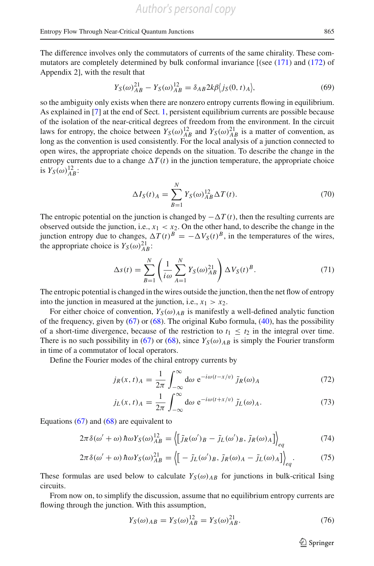The difference involves only the commutators of currents of the same chirality. These commutators are completely determined by bulk conformal invariance [(see [\(171\)](#page-22-0) and [\(172\)](#page-22-0) of Appendix 2], with the result that

$$
Y_S(\omega)_{AB}^{21} - Y_S(\omega)_{AB}^{12} = \delta_{AB} 2k \beta \langle j_S(0, t)_A \rangle, \tag{69}
$$

so the ambiguity only exists when there are nonzero entropy currents flowing in equilibrium. As explained in [\[7\]](#page-24-0) at the end of Sect. [1,](#page-20-0) persistent equilibrium currents are possible because of the isolation of the near-critical degrees of freedom from the environment. In the circuit laws for entropy, the choice between  $Y_S(\omega)_{AB}^{12}$  and  $Y_S(\omega)_{AB}^{21}$  is a matter of convention, as long as the convention is used consistently. For the local analysis of a junction connected to open wires, the appropriate choice depends on the situation. To describe the change in the entropy currents due to a change  $\Delta T(t)$  in the junction temperature, the appropriate choice is  $Y_S(\omega)_{AB}^{12}$ :

<span id="page-12-1"></span>
$$
\Delta I_S(t)_A = \sum_{B=1}^N Y_S(\omega)_{AB}^{12} \Delta T(t).
$$
 (70)

The entropic potential on the junction is changed by  $-\Delta T(t)$ , then the resulting currents are observed outside the junction, i.e.,  $x_1 < x_2$ . On the other hand, to describe the change in the junction entropy due to changes,  $\Delta T(t)^B = -\Delta V_S(t)^B$ , in the temperatures of the wires, the appropriate choice is  $Y_S(\omega)_{AB}^{21}$ :

<span id="page-12-2"></span>
$$
\Delta s(t) = \sum_{B=1}^{N} \left( \frac{1}{i\omega} \sum_{A=1}^{N} Y_S(\omega)_{AB}^{21} \right) \Delta V_S(t)^B.
$$
 (71)

The entropic potential is changed in the wires outside the junction, then the net flow of entropy into the junction in measured at the junction, i.e.,  $x_1 > x_2$ .

For either choice of convention,  $Y_S(\omega)_{AB}$  is manifestly a well-defined analytic function of the frequency, given by  $(67)$  or  $(68)$ . The original Kubo formula,  $(40)$ , has the possibility of a short-time divergence, because of the restriction to  $t_1 \leq t_2$  in the integral over time. There is no such possibility in [\(67\)](#page-11-0) or [\(68\)](#page-11-1), since  $Y_S(\omega)_{AB}$  is simply the Fourier transform in time of a commutator of local operators.

Define the Fourier modes of the chiral entropy currents by

$$
j_R(x,t)_A = \frac{1}{2\pi} \int_{-\infty}^{\infty} d\omega \ e^{-i\omega(t-x/v)} \tilde{j}_R(\omega)_A
$$
 (72)

$$
j_L(x,t)_A = \frac{1}{2\pi} \int_{-\infty}^{\infty} d\omega \ e^{-i\omega(t+x/v)} \tilde{j}_L(\omega)_A.
$$
 (73)

Equations  $(67)$  and  $(68)$  are equivalent to

<span id="page-12-0"></span>
$$
2\pi\delta(\omega'+\omega)\hbar\omega Y_{S}(\omega)_{AB}^{12} = \left\langle \left[\tilde{j}_{R}(\omega')_{B} - \tilde{j}_{L}(\omega')_{B}, \tilde{j}_{R}(\omega)_{A}\right]\right\rangle_{eq} \tag{74}
$$

$$
2\pi\delta(\omega'+\omega)\hbar\omega Y_{S}(\omega)_{AB}^{21} = \left\langle \left[ -\tilde{J}_{L}(\omega')_{B}, \tilde{J}_{R}(\omega)_{A} - \tilde{J}_{L}(\omega)_{A} \right] \right\rangle_{eq}.
$$
 (75)

These formulas are used below to calculate  $Y_S(\omega)_{AB}$  for junctions in bulk-critical Ising circuits.

From now on, to simplify the discussion, assume that no equilibrium entropy currents are flowing through the junction. With this assumption,

$$
Y_S(\omega)_{AB} = Y_S(\omega)_{AB}^{12} = Y_S(\omega)_{AB}^{21}.
$$
\n(76)

 $\mathcal{L}$  Springer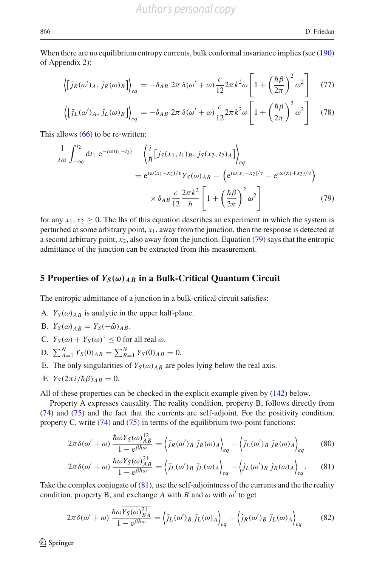When there are no equilibrium entropy currents, bulk conformal invariance implies (see [\(190\)](#page-23-0) of Appendix 2):

$$
\left\langle \left[ \tilde{J}_R(\omega')_A, \tilde{J}_R(\omega)_B \right] \right\rangle_{eq} = -\delta_{AB} 2\pi \,\delta(\omega' + \omega) \frac{c}{12} 2\pi k^2 \omega \left[ 1 + \left( \frac{\hbar \beta}{2\pi} \right)^2 \omega^2 \right] \tag{77}
$$

$$
\left\langle \left[ \tilde{J}_L(\omega')_A, \tilde{J}_L(\omega)_B \right] \right\rangle_{eq} = -\delta_{AB} 2\pi \,\delta(\omega' + \omega) \frac{c}{12} 2\pi k^2 \omega \left[ 1 + \left( \frac{\hbar \beta}{2\pi} \right)^2 \omega^2 \right] \tag{78}
$$

This allows [\(66\)](#page-11-2) to be re-written:

<span id="page-13-0"></span>
$$
\frac{1}{i\omega} \int_{-\infty}^{t_2} dt_1 e^{-i\omega(t_1 - t_2)} \left\langle \frac{i}{\hbar} \left[ j_S(x_1, t_1) \frac{g}{g}, j_S(x_2, t_2) \right] \right\rangle_{eq}
$$
\n
$$
= e^{i\omega(x_1 + x_2)/v} Y_S(\omega)_{AB} - \left( e^{i\omega|x_1 - x_2|/v} - e^{i\omega(x_1 + x_2)/v} \right)
$$
\n
$$
\times \delta_{AB} \frac{c}{12} \frac{2\pi k^2}{\hbar} \left[ 1 + \left( \frac{\hbar \beta}{2\pi} \right)^2 \omega^2 \right] \tag{79}
$$

for any  $x_1, x_2 > 0$ . The lhs of this equation describes an experiment in which the system is perturbed at some arbitrary point, *x*1, away from the junction, then the response is detected at a second arbitrary point,  $x_2$ , also away from the junction. Equation [\(79\)](#page-13-0) says that the entropic admittance of the junction can be extracted from this measurement.

# **5 Properties of**  $Y_S(\omega)_{AB}$  in a Bulk-Critical Quantum Circuit

The entropic admittance of a junction in a bulk-critical circuit satisfies:

- A.  $Y_S(\omega)_{AB}$  is analytic in the upper half-plane.
- B.  $\overline{Y_S(\omega)}_{AB} = Y_S(-\overline{\omega})_{AB}$ .
- C.  $Y_S(\omega) + Y_S(\omega)^{\dagger} < 0$  for all real  $\omega$ .
- D.  $\sum_{A=1}^{N} Y_S(0)_{AB} = \sum_{B=1}^{N} Y_S(0)_{AB} = 0.$
- E. The only singularities of  $Y_S(\omega)_{AB}$  are poles lying below the real axis.
- F.  $Y_S(2\pi i/\hbar\beta)_{AB} = 0$ .

All of these properties can be checked in the explicit example given by [\(142\)](#page-19-0) below.

Property A expresses causality. The reality condition, property B, follows directly from [\(74\)](#page-12-0) and [\(75\)](#page-12-0) and the fact that the currents are self-adjoint. For the positivity condition, property C, write  $(74)$  and  $(75)$  in terms of the equilibrium two-point functions:

<span id="page-13-1"></span>
$$
2\pi\delta(\omega' + \omega)\frac{\hbar\omega Y_S(\omega)_{AB}^{12}}{1 - e^{\beta\hbar\omega}} = \left\langle \tilde{J}_R(\omega')_B \tilde{J}_R(\omega)_A \right\rangle_{eq} - \left\langle \tilde{J}_L(\omega')_B \tilde{J}_R(\omega)_A \right\rangle_{eq} \tag{80}
$$

$$
2\pi\delta(\omega'+\omega)\frac{\hbar\omega Y_{S}(\omega)_{AB}^{21}}{1-e^{\beta\hbar\omega}}=\left\langle\tilde{J}_{L}(\omega')_{B}\,\tilde{J}_{L}(\omega)_{A}\right\rangle_{eq}-\left\langle\tilde{J}_{L}(\omega')_{B}\,\tilde{J}_{R}(\omega)_{A}\right\rangle_{eq}.\tag{81}
$$

Take the complex conjugate of [\(81\)](#page-13-1), use the self-adjointness of the currents and the the reality condition, property B, and exchange A with B and  $\omega$  with  $\omega'$  to get

<span id="page-13-2"></span>
$$
2\pi\delta(\omega' + \omega)\frac{\hbar\omega Y_S(\omega)_{BA}^{21}}{1 - e^{\beta\hbar\omega}} = \left\langle \tilde{J}_L(\omega')_B \tilde{J}_L(\omega)_A \right\rangle_{eq} - \left\langle \tilde{J}_R(\omega')_B \tilde{J}_L(\omega)_A \right\rangle_{eq} \tag{82}
$$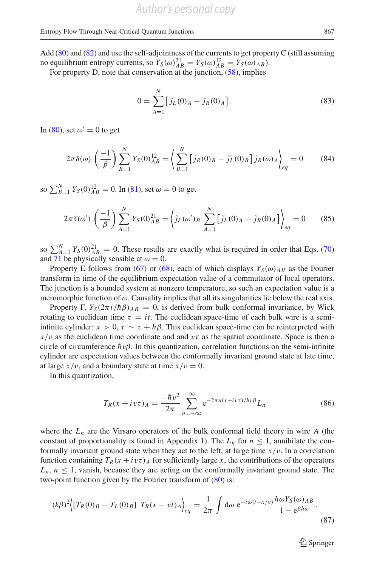Add  $(80)$  and  $(82)$  and use the self-adjointness of the currents to get property C (still assuming no equilibrium entropy currents, so  $Y_S(\omega)_{AB}^{21} = Y_S(\omega)_{AB}^{12} = Y_S(\omega)_{AB}$ .

For property D, note that conservation at the junction,  $(58)$ , implies

$$
0 = \sum_{A=1}^{N} \left[ \tilde{j}_L(0)_A - \tilde{j}_R(0)_A \right].
$$
 (83)

In [\(80\)](#page-13-1), set  $\omega' = 0$  to get

$$
2\pi \delta(\omega) \left(\frac{-1}{\beta}\right) \sum_{B=1}^{N} Y_S(0)_{AB}^{12} = \left\langle \sum_{B=1}^{N} \left[ \tilde{j}_R(0)_B - \tilde{j}_L(0)_B \right] \tilde{j}_R(\omega)_A \right\rangle_{eq} = 0 \tag{84}
$$

so  $\sum_{B=1}^{N} Y_S(0)_{AB}^{12} = 0$ . In [\(81\)](#page-13-1), set  $\omega = 0$  to get

$$
2\pi \delta(\omega') \left(\frac{-1}{\beta}\right) \sum_{A=1}^{N} Y_S(0)_{AB}^{21} = \left\langle \tilde{J}_L(\omega')_B \sum_{A=1}^{N} \left[ \tilde{J}_L(0)_A - \tilde{J}_R(0)_A \right] \right\rangle_{eq} = 0 \tag{85}
$$

so  $\sum_{A=1}^{N} Y_S(0)_{AB}^{21} = 0$ . These results are exactly what is required in order that Eqs. [\(70\)](#page-12-1) and [71](#page-12-2) be physically sensible at  $\omega = 0$ .

Property E follows from [\(67\)](#page-11-0) or [\(68\)](#page-11-1), each of which displays  $Y_S(\omega)_{AB}$  as the Fourier transform in time of the equilibrium expectation value of a commutator of local operators. The junction is a bounded system at nonzero temperature, so such an expectation value is a meromorphic function of  $\omega$ . Causality implies that all its singularities lie below the real axis.

Property F,  $Y_S(2\pi i/\hbar\beta)_{AB} = 0$ , is derived from bulk conformal invariance, by Wick rotating to euclidean time  $\tau = it$ . The euclidean space-time of each bulk wire is a semiinfinite cylinder:  $x > 0$ ,  $\tau \sim \tau + h\beta$ . This euclidean space-time can be reinterpreted with  $x/v$  as the euclidean time coordinate and and  $v\tau$  as the spatial coordinate. Space is then a circle of circumference  $h v \beta$ . In this quantization, correlation functions on the semi-infinite cylinder are expectation values between the conformally invariant ground state at late time, at large  $x/v$ , and a boundary state at time  $x/v = 0$ .

In this quantization,

$$
T_R(x + iv\tau)_A = \frac{-\hbar v^2}{2\pi} \sum_{n=-\infty}^{\infty} e^{-2\pi n(x + iv\tau)/\hbar v\beta} L_n
$$
 (86)

where the  $L_n$  are the Virsaro operators of the bulk conformal field theory in wire A (the constant of proportionality is found in Appendix 1). The  $L_n$  for  $n \leq 1$ , annihilate the conformally invariant ground state when they act to the left, at large time  $x/v$ . In a correlation function containing  $T_R(x + i v \tau)$  for sufficiently large *x*, the contributions of the operators  $L_n$ ,  $n \leq 1$ , vanish, because they are acting on the conformally invariant ground state. The two-point function given by the Fourier transform of  $(80)$  is:

$$
(k\beta)^2 \Big\{ [T_R(0)_B - T_L(0)_B] \ T_R(x - vt)_A \Big\}_{eq} = \frac{1}{2\pi} \int d\omega \ e^{-i\omega(t - x/v)} \frac{\hbar \omega Y_S(\omega)_{AB}}{1 - e^{\beta \hbar \omega}}.
$$
\n(87)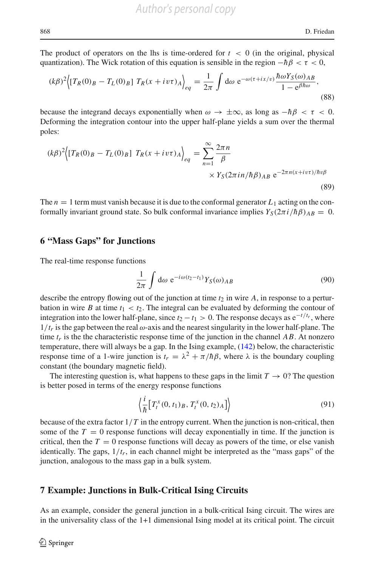The product of operators on the lhs is time-ordered for  $t < 0$  (in the original, physical quantization). The Wick rotation of this equation is sensible in the region  $-\hbar\beta < \tau < 0$ ,

$$
(k\beta)^2 \Big\{ [T_R(0)_B - T_L(0)_B] T_R(x + iv\tau)_A \Big\}_{eq} = \frac{1}{2\pi} \int d\omega \ e^{-\omega(\tau + ix/v)} \frac{\hbar \omega Y_S(\omega)_{AB}}{1 - e^{\beta \hbar \omega}},
$$
\n(88)

because the integrand decays exponentially when  $\omega \to \pm \infty$ , as long as  $-\hbar \beta < \tau < 0$ . Deforming the integration contour into the upper half-plane yields a sum over the thermal poles:

$$
(k\beta)^2 \Big\{ [T_R(0)_B - T_L(0)_B] T_R(x + iv\tau)_A \Big\}_{eq} = \sum_{n=1}^{\infty} \frac{2\pi n}{\beta} \times Y_S(2\pi i n/\hbar \beta)_{AB} e^{-2\pi n(x + iv\tau)/\hbar v \beta}
$$
\n(89)

The  $n = 1$  term must vanish because it is due to the conformal generator  $L_1$  acting on the conformally invariant ground state. So bulk conformal invariance implies  $Y_S(2\pi i/\hbar\beta)_{AB} = 0$ .

## **6 "Mass Gaps" for Junctions**

The real-time response functions

$$
\frac{1}{2\pi} \int d\omega \ e^{-i\omega(t_2 - t_1)} Y_S(\omega)_{AB} \tag{90}
$$

describe the entropy flowing out of the junction at time  $t_2$  in wire  $A$ , in response to a perturbation in wire *B* at time  $t_1 < t_2$ . The integral can be evaluated by deforming the contour of integration into the lower half-plane, since  $t_2 - t_1 > 0$ . The response decays as  $e^{-t/t_r}$ , where  $1/t_r$  is the gap between the real  $\omega$ -axis and the nearest singularity in the lower half-plane. The time  $t_r$  is the the characteristic response time of the junction in the channel  $AB$ . At nonzero temperature, there will always be a gap. In the Ising example, [\(142\)](#page-19-0) below, the characteristic response time of a 1-wire junction is  $t_r = \lambda^2 + \pi/\hbar\beta$ , where  $\lambda$  is the boundary coupling constant (the boundary magnetic field).

The interesting question is, what happens to these gaps in the limit  $T \to 0$ ? The question is better posed in terms of the energy response functions

$$
\left\langle \frac{i}{\hbar} \left[ T_t^x(0, t_1)_B, T_t^x(0, t_2)_A \right] \right\rangle \tag{91}
$$

because of the extra factor  $1/T$  in the entropy current. When the junction is non-critical, then some of the  $T = 0$  response functions will decay exponentially in time. If the junction is critical, then the  $T = 0$  response functions will decay as powers of the time, or else vanish identically. The gaps,  $1/t_r$ , in each channel might be interpreted as the "mass gaps" of the junction, analogous to the mass gap in a bulk system.

#### **7 Example: Junctions in Bulk-Critical Ising Circuits**

As an example, consider the general junction in a bulk-critical Ising circuit. The wires are in the universality class of the 1+1 dimensional Ising model at its critical point. The circuit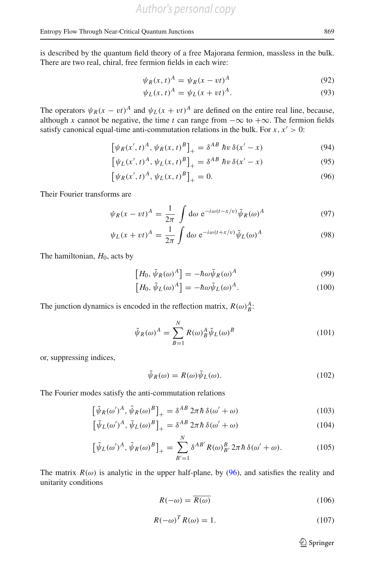is described by the quantum field theory of a free Majorana fermion, massless in the bulk. There are two real, chiral, free fermion fields in each wire:

$$
\psi_R(x, t)^A = \psi_R(x - vt)^A \tag{92}
$$

$$
\psi_L(x,t)^A = \psi_L(x+vt)^A. \tag{93}
$$

The operators  $\psi_R(x - vt)^A$  and  $\psi_L(x + vt)^A$  are defined on the entire real line, because, although *x* cannot be negative, the time *t* can range from  $-\infty$  to  $+\infty$ . The fermion fields satisfy canonical equal-time anti-commutation relations in the bulk. For  $x, x' > 0$ :

<span id="page-16-0"></span>
$$
[\psi_R(x',t)^A, \psi_R(x,t)^B]_+ = \delta^{AB} \; \hbar v \, \delta(x'-x) \tag{94}
$$

$$
\left[\psi_L(x',t)^A, \psi_L(x,t)^B\right]_+ = \delta^{AB} \; \hbar v \, \delta(x'-x) \tag{95}
$$

$$
\left[\psi_R(x',t)^A, \psi_L(x,t)^B\right]_+ = 0.
$$
\n(96)

Their Fourier transforms are

$$
\psi_R(x - vt)^A = \frac{1}{2\pi} \int d\omega \ e^{-i\omega(t - x/v)} \tilde{\psi}_R(\omega)^A \tag{97}
$$

$$
\psi_L(x + vt)^A = \frac{1}{2\pi} \int d\omega \ e^{-i\omega(t + x/v)} \tilde{\psi}_L(\omega)^A \tag{98}
$$

The hamiltonian,  $H_0$ , acts by

$$
\left[H_0, \tilde{\psi}_R(\omega)^A\right] = -\hbar\omega\tilde{\psi}_R(\omega)^A\tag{99}
$$

$$
[H_0, \tilde{\psi}_L(\omega)^A] = -\hbar \omega \tilde{\psi}_L(\omega)^A.
$$
 (100)

The junction dynamics is encoded in the reflection matrix,  $R(\omega)_B^A$ :

$$
\tilde{\psi}_R(\omega)^A = \sum_{B=1}^N R(\omega)_B^A \tilde{\psi}_L(\omega)^B
$$
\n(101)

or, suppressing indices,

$$
\tilde{\psi}_R(\omega) = R(\omega)\tilde{\psi}_L(\omega). \tag{102}
$$

The Fourier modes satisfy the anti-commutation relations

<span id="page-16-1"></span>
$$
\left[\tilde{\psi}_R(\omega')^A, \tilde{\psi}_R(\omega)^B\right]_+ = \delta^{AB} 2\pi \hbar \delta(\omega' + \omega) \tag{103}
$$

$$
\left[\tilde{\psi}_L(\omega')^A, \tilde{\psi}_L(\omega)^B\right]_+ = \delta^{AB} 2\pi \hbar \delta(\omega' + \omega)
$$
\n(104)

$$
\left[\tilde{\psi}_L(\omega')^A, \tilde{\psi}_R(\omega)^B\right]_+ = \sum_{B'=1}^N \delta^{AB'} R(\omega)_{B'}^B 2\pi \hbar \delta(\omega' + \omega). \tag{105}
$$

The matrix  $R(\omega)$  is analytic in the upper half-plane, by [\(96\)](#page-16-0), and satisfies the reality and unitarity conditions

$$
R(-\omega) = \overline{R(\omega)}\tag{106}
$$

$$
R(-\omega)^T R(\omega) = 1. \tag{107}
$$

<sup>2</sup> Springer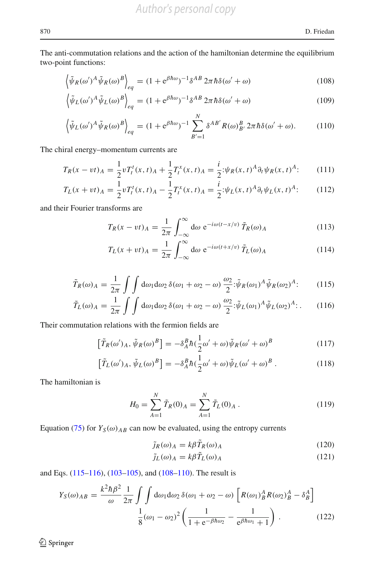The anti-commutation relations and the action of the hamiltonian determine the equilibrium two-point functions:

<span id="page-17-1"></span>
$$
\left\langle \tilde{\psi}_R(\omega')^A \tilde{\psi}_R(\omega)^B \right\rangle_{eq} = (1 + e^{\beta \hbar \omega})^{-1} \delta^{AB} 2\pi \hbar \delta(\omega' + \omega) \tag{108}
$$

$$
\left\langle \tilde{\psi}_L(\omega')^A \tilde{\psi}_L(\omega)^B \right\rangle_{eq} = (1 + e^{\beta \hbar \omega})^{-1} \delta^{AB} 2\pi \hbar \delta(\omega' + \omega) \tag{109}
$$

$$
\left\langle \tilde{\psi}_L(\omega')^A \tilde{\psi}_R(\omega)^B \right\rangle_{eq} = (1 + e^{\beta \hbar \omega})^{-1} \sum_{B'=1}^N \delta^{AB'} R(\omega)_{B'}^B 2\pi \hbar \delta(\omega' + \omega). \tag{110}
$$

The chiral energy–momentum currents are

$$
T_R(x - vt)_A = \frac{1}{2} v T_t^t(x, t)_A + \frac{1}{2} T_t^x(x, t)_A = \frac{i}{2} \psi_R(x, t)^A \partial_t \psi_R(x, t)^A; \tag{111}
$$

$$
T_L(x + vt) = \frac{1}{2} v T_t^t(x, t) = \frac{1}{2} T_t^x(x, t) = \frac{i}{2} \psi_L(x, t)^A \partial_t \psi_L(x, t)^A.
$$
 (112)

and their Fourier transforms are

$$
T_R(x - vt)_A = \frac{1}{2\pi} \int_{-\infty}^{\infty} d\omega \ e^{-i\omega(t - x/v)} \tilde{T}_R(\omega)_A
$$
 (113)

$$
T_L(x + vt)_A = \frac{1}{2\pi} \int_{-\infty}^{\infty} d\omega \ e^{-i\omega(t + x/v)} \tilde{T}_L(\omega)_A
$$
 (114)

<span id="page-17-0"></span>
$$
\tilde{T}_R(\omega)_A = \frac{1}{2\pi} \int \int d\omega_1 d\omega_2 \, \delta(\omega_1 + \omega_2 - \omega) \, \frac{\omega_2}{2} \, \phi^T \tilde{\psi}_R(\omega_1)^A \tilde{\psi}_R(\omega_2)^A; \tag{115}
$$

$$
\tilde{T}_L(\omega)_A = \frac{1}{2\pi} \int \int d\omega_1 d\omega_2 \, \delta(\omega_1 + \omega_2 - \omega) \, \frac{\omega_2}{2} \, \phi^2(\omega_1)^A \tilde{\psi}_L(\omega_2)^A \, . \tag{116}
$$

Their commutation relations with the fermion fields are

$$
\left[\tilde{T}_R(\omega')_A, \tilde{\psi}_R(\omega)^B\right] = -\delta_A^B \hbar \left(\frac{1}{2}\omega' + \omega\right) \tilde{\psi}_R(\omega' + \omega)^B \tag{117}
$$

$$
\left[\tilde{T}_L(\omega')_A, \tilde{\psi}_L(\omega)^B\right] = -\delta_A^B \hbar \left(\frac{1}{2}\omega' + \omega\right) \tilde{\psi}_L(\omega' + \omega)^B.
$$
\n(118)

The hamiltonian is

$$
H_0 = \sum_{A=1}^{N} \tilde{T}_R(0)_A = \sum_{A=1}^{N} \tilde{T}_L(0)_A.
$$
 (119)

Equation [\(75\)](#page-12-0) for  $Y_S(\omega)_{AB}$  can now be evaluated, using the entropy currents

$$
\tilde{j}_R(\omega)_A = k\beta \tilde{T}_R(\omega)_A \tag{120}
$$

$$
\tilde{j}_L(\omega)_A = k\beta \tilde{T}_L(\omega)_A \tag{121}
$$

and Eqs. [\(115–116\)](#page-17-0), [\(103–105\)](#page-16-1), and [\(108–110\)](#page-17-1). The result is

<span id="page-17-2"></span>
$$
Y_S(\omega)_{AB} = \frac{k^2 \hbar \beta^2}{\omega} \frac{1}{2\pi} \int \int d\omega_1 d\omega_2 \,\delta(\omega_1 + \omega_2 - \omega) \left[ R(\omega_1)^A_B R(\omega_2)^A_B - \delta^A_B \right]
$$

$$
\frac{1}{8} (\omega_1 - \omega_2)^2 \left( \frac{1}{1 + e^{-\beta \hbar \omega_2}} - \frac{1}{e^{\beta \hbar \omega_1} + 1} \right). \tag{122}
$$

 $\hat{Z}$  Springer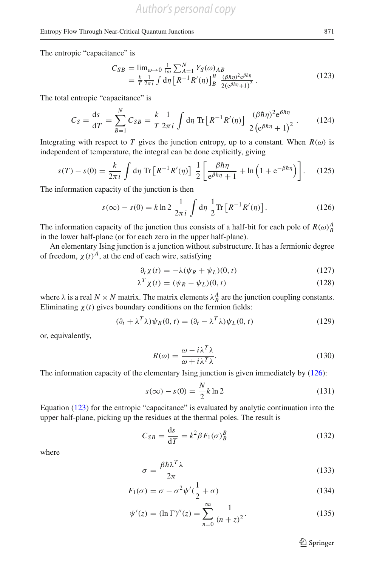The entropic "capacitance" is

<span id="page-18-1"></span>
$$
C_{SB} = \lim_{\omega \to 0} \frac{1}{i\omega} \sum_{A=1}^{N} Y_S(\omega)_{AB}
$$
  
=  $\frac{k}{T} \frac{1}{2\pi i} \int d\eta \left[ R^{-1} R'(\eta) \right]_{B}^{B} \frac{(\beta \hbar \eta)^2 e^{\beta \hbar \eta}}{2(e^{\beta \hbar \eta} + 1)^2}.$  (123)

The total entropic "capacitance" is

$$
C_S = \frac{ds}{dT} = \sum_{B=1}^{N} C_{SB} = \frac{k}{T} \frac{1}{2\pi i} \int d\eta \, \text{Tr} \left[ R^{-1} R'(\eta) \right] \, \frac{(\beta \hbar \eta)^2 e^{\beta \hbar \eta}}{2 \left( e^{\beta \hbar \eta} + 1 \right)^2} \,. \tag{124}
$$

Integrating with respect to *T* gives the junction entropy, up to a constant. When  $R(\omega)$  is independent of temperature, the integral can be done explicitly, giving

$$
s(T) - s(0) = \frac{k}{2\pi i} \int d\eta \operatorname{Tr} \left[ R^{-1} R'(\eta) \right] \frac{1}{2} \left[ \frac{\beta \hbar \eta}{e^{\beta \hbar \eta} + 1} + \ln \left( 1 + e^{-\beta \hbar \eta} \right) \right]. \tag{125}
$$

The information capacity of the junction is then

<span id="page-18-0"></span>
$$
s(\infty) - s(0) = k \ln 2 \frac{1}{2\pi i} \int d\eta \frac{1}{2} \text{Tr} \left[ R^{-1} R'(\eta) \right].
$$
 (126)

The information capacity of the junction thus consists of a half-bit for each pole of  $R(\omega)_{B}^{A}$ in the lower half-plane (or for each zero in the upper half-plane).

An elementary Ising junction is a junction without substructure. It has a fermionic degree of freedom,  $\chi(t)^A$ , at the end of each wire, satisfying

$$
\partial_t \chi(t) = -\lambda(\psi_R + \psi_L)(0, t) \tag{127}
$$

$$
\lambda^T \chi(t) = (\psi_R - \psi_L)(0, t) \tag{128}
$$

where  $\lambda$  is a real  $N \times N$  matrix. The matrix elements  $\lambda_B^A$  are the junction coupling constants. Eliminating  $\chi(t)$  gives boundary conditions on the fermion fields:

$$
(\partial_t + \lambda^T \lambda) \psi_R(0, t) = (\partial_t - \lambda^T \lambda) \psi_L(0, t)
$$
\n(129)

or, equivalently,

<span id="page-18-2"></span>
$$
R(\omega) = \frac{\omega - i\lambda^T \lambda}{\omega + i\lambda^T \lambda}.
$$
\n(130)

The information capacity of the elementary Ising junction is given immediately by [\(126\)](#page-18-0):

$$
s(\infty) - s(0) = \frac{N}{2}k \ln 2
$$
\n(131)

Equation [\(123\)](#page-18-1) for the entropic "capacitance" is evaluated by analytic continuation into the upper half-plane, picking up the residues at the thermal poles. The result is

$$
C_{SB} = \frac{\mathrm{d}s}{\mathrm{d}T} = k^2 \beta F_1(\sigma)_B^B \tag{132}
$$

where

$$
\sigma = \frac{\beta \hbar \lambda^T \lambda}{2\pi} \tag{133}
$$

$$
F_1(\sigma) = \sigma - \sigma^2 \psi'(\frac{1}{2} + \sigma) \tag{134}
$$

$$
\psi'(z) = (\ln \Gamma)''(z) = \sum_{n=0}^{\infty} \frac{1}{(n+z)^2}.
$$
\n(135)

 $\hat{\mathfrak{D}}$  Springer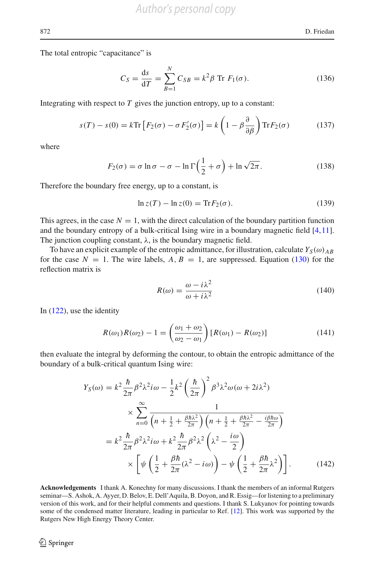The total entropic "capacitance" is

$$
C_S = \frac{ds}{dT} = \sum_{B=1}^{N} C_{SB} = k^2 \beta \text{ Tr } F_1(\sigma).
$$
 (136)

Integrating with respect to  $T$  gives the junction entropy, up to a constant:

$$
s(T) - s(0) = k \text{Tr} \left[ F_2(\sigma) - \sigma F_2'(\sigma) \right] = k \left( 1 - \beta \frac{\partial}{\partial \beta} \right) \text{Tr} F_2(\sigma) \tag{137}
$$

where

$$
F_2(\sigma) = \sigma \ln \sigma - \sigma - \ln \Gamma \left( \frac{1}{2} + \sigma \right) + \ln \sqrt{2\pi}.
$$
 (138)

Therefore the boundary free energy, up to a constant, is

$$
\ln z(T) - \ln z(0) = \text{Tr} F_2(\sigma). \tag{139}
$$

This agrees, in the case  $N = 1$ , with the direct calculation of the boundary partition function and the boundary entropy of a bulk-critical Ising wire in a boundary magnetic field [\[4](#page-24-6)[,11\]](#page-24-8). The junction coupling constant,  $\lambda$ , is the boundary magnetic field.

To have an explicit example of the entropic admittance, for illustration, calculate  $Y_S(\omega)_{AB}$ for the case  $N = 1$ . The wire labels,  $A, B = 1$ , are suppressed. Equation [\(130\)](#page-18-2) for the reflection matrix is

$$
R(\omega) = \frac{\omega - i\lambda^2}{\omega + i\lambda^2} \tag{140}
$$

In [\(122\)](#page-17-2), use the identity

$$
R(\omega_1)R(\omega_2) - 1 = \left(\frac{\omega_1 + \omega_2}{\omega_2 - \omega_1}\right)[R(\omega_1) - R(\omega_2)]\tag{141}
$$

then evaluate the integral by deforming the contour, to obtain the entropic admittance of the boundary of a bulk-critical quantum Ising wire:

<span id="page-19-0"></span>
$$
Y_S(\omega) = k^2 \frac{\hbar}{2\pi} \beta^2 \lambda^2 i\omega - \frac{1}{2} k^2 \left(\frac{\hbar}{2\pi}\right)^2 \beta^3 \lambda^2 \omega (\omega + 2i\lambda^2)
$$
  

$$
\times \sum_{n=0}^{\infty} \frac{1}{\left(n + \frac{1}{2} + \frac{\beta \hbar \lambda^2}{2\pi}\right) \left(n + \frac{1}{2} + \frac{\beta \hbar \lambda^2}{2\pi} - \frac{i\beta \hbar \omega}{2\pi}\right)}
$$
  

$$
= k^2 \frac{\hbar}{2\pi} \beta^2 \lambda^2 i\omega + k^2 \frac{\hbar}{2\pi} \beta^2 \lambda^2 \left(\lambda^2 - \frac{i\omega}{2}\right)
$$
  

$$
\times \left[ \psi \left(\frac{1}{2} + \frac{\beta \hbar}{2\pi} (\lambda^2 - i\omega)\right) - \psi \left(\frac{1}{2} + \frac{\beta \hbar}{2\pi} \lambda^2\right) \right].
$$
 (142)

**Acknowledgements** I thank A. Konechny for many discussions. I thank the members of an informal Rutgers seminar—S. Ashok, A. Ayyer, D. Belov, E. Dell'Aquila, B. Doyon, and R. Essig—for listening to a preliminary version of this work, and for their helpful comments and questions. I thank S. Lukyanov for pointing towards some of the condensed matter literature, leading in particular to Ref. [\[12](#page-24-9)]. This work was supported by the Rutgers New High Energy Theory Center.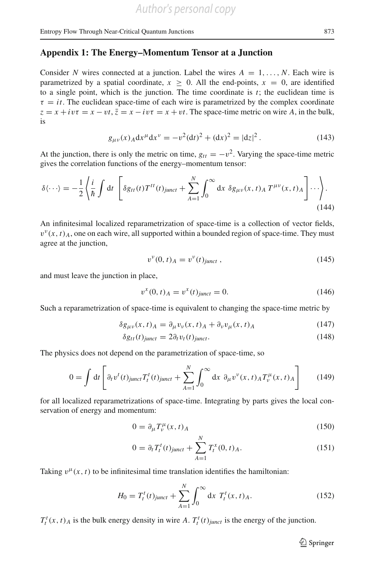# <span id="page-20-0"></span>**Appendix 1: The Energy–Momentum Tensor at a Junction**

Consider *N* wires connected at a junction. Label the wires  $A = 1, \ldots, N$ . Each wire is parametrized by a spatial coordinate,  $x \ge 0$ . All the end-points,  $x = 0$ , are identified to a single point, which is the junction. The time coordinate is  $t$ ; the euclidean time is  $\tau = it$ . The euclidean space-time of each wire is parametrized by the complex coordinate  $z = x + i v \tau = x - v \tau$ ,  $\bar{z} = x - i v \tau = x + v \tau$ . The space-time metric on wire *A*, in the bulk, is

$$
g_{\mu\nu}(x)_A dx^{\mu} dx^{\nu} = -v^2 (dt)^2 + (dx)^2 = |dz|^2.
$$
 (143)

At the junction, there is only the metric on time,  $g_{tt} = -v^2$ . Varying the space-time metric gives the correlation functions of the energy–momentum tensor:

$$
\delta\langle\cdots\rangle = -\frac{1}{2}\left\langle \frac{i}{\hbar} \int dt \left[ \delta g_{tt}(t) T^{tt}(t)_{\text{junct}} + \sum_{A=1}^{N} \int_0^\infty dx \ \delta g_{\mu\nu}(x, t)_A T^{\mu\nu}(x, t)_A \right] \cdots \right\rangle.
$$
\n(144)

An infinitesimal localized reparametrization of space-time is a collection of vector fields,  $v^{\nu}(x, t)$ <sub>A</sub>, one on each wire, all supported within a bounded region of space-time. They must agree at the junction,

$$
v^{v}(0, t)_{A} = v^{v}(t)_{\text{junct}} , \qquad (145)
$$

and must leave the junction in place,

$$
v^{x}(0,t)_{A} = v^{x}(t)_{junct} = 0.
$$
\n(146)

Such a reparametrization of space-time is equivalent to changing the space-time metric by

$$
\delta g_{\mu\nu}(x,t)_A = \partial_\mu v_\nu(x,t)_A + \partial_\nu v_\mu(x,t)_A \tag{147}
$$

$$
\delta g_{tt}(t)_{junct} = 2\partial_t v_t(t)_{junct}.\tag{148}
$$

The physics does not depend on the parametrization of space-time, so

$$
0 = \int dt \left[ \partial_t v^t(t)_{junct} T_t^t(t)_{junct} + \sum_{A=1}^N \int_0^\infty dx \ \partial_\mu v^\nu(x, t)_{A} T_\nu^\mu(x, t)_{A} \right] \tag{149}
$$

for all localized reparametrizations of space-time. Integrating by parts gives the local conservation of energy and momentum:

$$
0 = \partial_{\mu} T_{\nu}^{\mu}(x, t)_{A} \tag{150}
$$

$$
0 = \partial_t T_t^t(t)_{\text{junct}} + \sum_{A=1}^N T_t^x(0, t)_A.
$$
 (151)

Taking  $v^{\mu}(x, t)$  to be infinitesimal time translation identifies the hamiltonian:

$$
H_0 = T_t^t(t)_{junct} + \sum_{A=1}^N \int_0^\infty dx \ T_t^t(x, t)_A.
$$
 (152)

 $T_t^t(x, t)$ <sup>*A*</sup> is the bulk energy density in wire *A*.  $T_t^t(t)$  *junct* is the energy of the junction.

 $\hat{\mathfrak{D}}$  Springer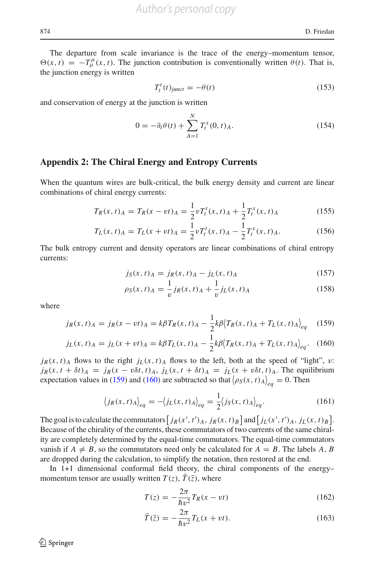The departure from scale invariance is the trace of the energy–momentum tensor,  $\Theta(x, t) = -T^{\mu}_{\mu}(x, t)$ . The junction contribution is conventionally written  $\theta(t)$ . That is, the junction energy is written

$$
T_t^t(t)_{junct} = -\theta(t) \tag{153}
$$

and conservation of energy at the junction is written

$$
0 = -\partial_t \theta(t) + \sum_{A=1}^{N} T_t^x(0, t)_A.
$$
 (154)

#### **Appendix 2: The Chiral Energy and Entropy Currents**

When the quantum wires are bulk-critical, the bulk energy density and current are linear combinations of chiral energy currents:

$$
T_R(x,t)_A = T_R(x - vt)_A = \frac{1}{2} v T_t^t(x,t)_A + \frac{1}{2} T_t^x(x,t)_A
$$
\n(155)

$$
T_L(x,t)_A = T_L(x+vt)_A = \frac{1}{2} v T_t^t(x,t)_A - \frac{1}{2} T_t^x(x,t)_A.
$$
 (156)

The bulk entropy current and density operators are linear combinations of chiral entropy currents:

$$
j_S(x, t)_A = j_R(x, t)_A - j_L(x, t)_A
$$
\n(157)

$$
\rho_S(x, t)_A = \frac{1}{v} j_R(x, t)_A + \frac{1}{v} j_L(x, t)_A
$$
\n(158)

where

<span id="page-21-0"></span>
$$
j_R(x, t)_A = j_R(x - vt)_A = k\beta T_R(x, t)_A - \frac{1}{2}k\beta \langle T_R(x, t)_A + T_L(x, t)_A \rangle_{eq} \tag{159}
$$

$$
j_L(x,t)_A = j_L(x+vt)_A = k\beta T_L(x,t)_A - \frac{1}{2}k\beta \langle T_R(x,t)_A + T_L(x,t)_A \rangle_{eq}.
$$
 (160)

 $j_R(x, t)$  flows to the right  $j_L(x, t)$  flows to the left, both at the speed of "light", v:  $j_R(x, t + \delta t)_A = j_R(x - v\delta t, t)_A$ ,  $j_L(x, t + \delta t)_A = j_L(x + v\delta t, t)_A$ . The equilibrium expectation values in [\(159\)](#page-21-0) and [\(160\)](#page-21-0) are subtracted so that  $(\rho_S(x, t)_{A})_{eq} = 0$ . Then

$$
\langle j_R(x,t)_{A}\rangle_{eq} = -\langle j_L(x,t)_{A}\rangle_{eq} = \frac{1}{2} \langle j_S(x,t)_{A}\rangle_{eq}.
$$
 (161)

The goal is to calculate the commutators  $\left[ j_R(x',t')_A, j_R(x,t)_B \right]$  and  $\left[ j_L(x',t')_A, j_L(x,t)_B \right]$ . Because of the chirality of the currents, these commutators of two currents of the same chirality are completely determined by the equal-time commutators. The equal-time commutators vanish if  $A \neq B$ , so the commutators need only be calculated for  $A = B$ . The labels A, B are dropped during the calculation, to simplify the notation, then restored at the end.

In 1+1 dimensional conformal field theory, the chiral components of the energy– momentum tensor are usually written  $T(z)$ ,  $\overline{T}(\overline{z})$ , where

<span id="page-21-1"></span>
$$
T(z) = -\frac{2\pi}{\hbar v^2} T_R(x - vt) \tag{162}
$$

$$
\bar{T}(\bar{z}) = -\frac{2\pi}{\hbar v^2} T_L(x + vt). \tag{163}
$$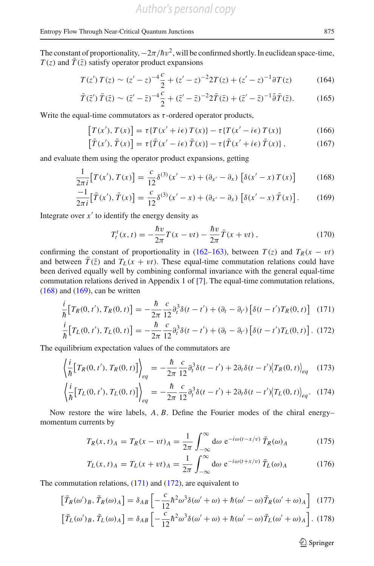The constant of proportionality,  $-2\pi/\hbar v^2$ , will be confirmed shortly. In euclidean space-time,  $T(z)$  and  $\overline{T}(\overline{z})$  satisfy operator product expansions

$$
T(z') T(z) \sim (z'-z)^{-4} \frac{c}{2} + (z'-z)^{-2} 2T(z) + (z'-z)^{-1} \partial T(z) \tag{164}
$$

$$
\bar{T}(\bar{z}')\,\bar{T}(\bar{z}) \sim (\bar{z}' - \bar{z})^{-4}\frac{c}{2} + (\bar{z}' - \bar{z})^{-2}2\bar{T}(\bar{z}) + (\bar{z}' - \bar{z})^{-1}\bar{\partial}\bar{T}(\bar{z}).\tag{165}
$$

Write the equal-time commutators as  $\tau$ -ordered operator products,

$$
[T(x'), T(x)] = \tau \{ T(x' + i\epsilon) T(x) \} - \tau \{ T(x' - i\epsilon) T(x) \}
$$
(166)

$$
\left[\bar{T}(x'), \bar{T}(x)\right] = \tau\{\bar{T}(x'-i\epsilon) \bar{T}(x)\} - \tau\{\bar{T}(x'+i\epsilon) \bar{T}(x)\},\tag{167}
$$

and evaluate them using the operator product expansions, getting

<span id="page-22-1"></span>
$$
\frac{1}{2\pi i} \left[ T(x'), T(x) \right] = \frac{c}{12} \delta^{(3)}(x'-x) + (\partial_{x'} - \partial_x) \left[ \delta(x'-x) T(x) \right] \tag{168}
$$

$$
\frac{-1}{2\pi i} \left[ \bar{T}(x'), \bar{T}(x) \right] = \frac{c}{12} \delta^{(3)}(x'-x) + (\partial_{x'} - \partial_x) \left[ \delta(x'-x) \bar{T}(x) \right]. \tag{169}
$$

Integrate over  $x'$  to identify the energy density as

$$
T_t^t(x,t) = -\frac{\hbar v}{2\pi}T(x - vt) - \frac{\hbar v}{2\pi}\bar{T}(x + vt),
$$
 (170)

confirming the constant of proportionality in [\(162–163\)](#page-21-1), between  $T(z)$  and  $T_R(x - vt)$ and between  $\overline{T}(\overline{z})$  and  $T_L(x + vt)$ . These equal-time commutation relations could have been derived equally well by combining conformal invariance with the general equal-time commutation relations derived in Appendix 1 of [\[7](#page-24-0)]. The equal-time commutation relations,  $(168)$  and  $(169)$ , can be written

<span id="page-22-0"></span>
$$
\frac{i}{\hbar} \big[ T_R(0, t'), T_R(0, t) \big] = -\frac{\hbar}{2\pi} \frac{c}{12} \partial_t^3 \delta(t - t') + (\partial_t - \partial_{t'}) \left[ \delta(t - t') T_R(0, t) \right] \tag{171}
$$

$$
\frac{i}{\hbar} \big[ T_L(0, t'), T_L(0, t) \big] = -\frac{\hbar}{2\pi} \frac{c}{12} \partial_t^3 \delta(t - t') + (\partial_t - \partial_{t'}) \big[ \delta(t - t') T_L(0, t) \big]. \tag{172}
$$

The equilibrium expectation values of the commutators are

$$
\left\langle \frac{i}{\hbar} \left[ T_R(0, t'), T_R(0, t) \right] \right\rangle_{eq} = -\frac{\hbar}{2\pi} \frac{c}{12} \partial_t^3 \delta(t - t') + 2 \partial_t \delta(t - t') \left\langle T_R(0, t) \right\rangle_{eq} \tag{173}
$$

$$
\left\langle \frac{i}{\hbar} \left[ T_L(0, t'), T_L(0, t) \right] \right\rangle_{eq} = -\frac{\hbar}{2\pi} \frac{c}{12} \partial_t^3 \delta(t - t') + 2 \partial_t \delta(t - t') \left\langle T_L(0, t) \right\rangle_{eq} . \tag{174}
$$

Now restore the wire labels, *A*, *B*. Define the Fourier modes of the chiral energy– momentum currents by

$$
T_R(x,t)_A = T_R(x-vt)_A = \frac{1}{2\pi} \int_{-\infty}^{\infty} d\omega \ e^{-i\omega(t-x/v)} \tilde{T}_R(\omega)_A \tag{175}
$$

$$
T_L(x,t)_A = T_L(x+vt)_A = \frac{1}{2\pi} \int_{-\infty}^{\infty} d\omega \ e^{-i\omega(t+x/\nu)} \tilde{T}_L(\omega)_A \tag{176}
$$

The commutation relations, [\(171\)](#page-22-0) and [\(172\)](#page-22-0), are equivalent to

I

$$
\tilde{T}_R(\omega')_B, \tilde{T}_R(\omega)_A = \delta_{AB} \left[ -\frac{c}{12} \hbar^2 \omega^3 \delta(\omega' + \omega) + \hbar(\omega' - \omega) \tilde{T}_R(\omega' + \omega)_A \right] (177)
$$

$$
\left[\tilde{T}_L(\omega')_B, \tilde{T}_L(\omega)_A\right] = \delta_{AB} \left[ -\frac{c}{12} \hbar^2 \omega^3 \delta(\omega' + \omega) + \hbar(\omega' - \omega) \tilde{T}_L(\omega' + \omega)_A \right].
$$
 (178)

 $\hat{\mathfrak{D}}$  Springer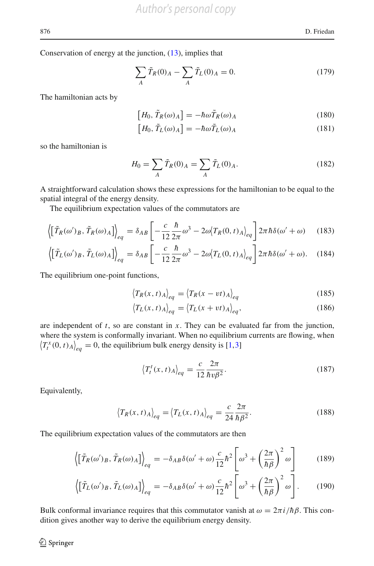Conservation of energy at the junction, [\(13\)](#page-5-0), implies that

$$
\sum_{A} \tilde{T}_{R}(0)_{A} - \sum_{A} \tilde{T}_{L}(0)_{A} = 0.
$$
 (179)

The hamiltonian acts by

$$
\left[H_0, \tilde{T}_R(\omega)_A\right] = -\hbar\omega \tilde{T}_R(\omega)_A\tag{180}
$$

$$
\left[H_0, \tilde{T}_L(\omega)_A\right] = -\hbar\omega \tilde{T}_L(\omega)_A\tag{181}
$$

so the hamiltonian is

$$
H_0 = \sum_A \tilde{T}_R(0)_A = \sum_A \tilde{T}_L(0)_A.
$$
 (182)

A straightforward calculation shows these expressions for the hamiltonian to be equal to the spatial integral of the energy density.

The equilibrium expectation values of the commutators are

$$
\left\langle \left[ \tilde{T}_R(\omega')_B, \tilde{T}_R(\omega)_A \right] \right\rangle_{eq} = \delta_{AB} \left[ -\frac{c}{12} \frac{\hbar}{2\pi} \omega^3 - 2\omega \langle T_R(0, t)_A \rangle_{eq} \right] 2\pi \hbar \delta(\omega' + \omega) \tag{183}
$$

$$
\left\langle \left[ \tilde{T}_L(\omega')_B, \tilde{T}_L(\omega)_A \right] \right\rangle_{eq} = \delta_{AB} \left[ -\frac{c}{12} \frac{\hbar}{2\pi} \omega^3 - 2\omega \langle T_L(0, t)_A \rangle_{eq} \right] 2\pi \hbar \delta(\omega' + \omega). \quad (184)
$$

The equilibrium one-point functions,

$$
\left\langle T_R(x,t)_{A}\right\rangle_{eq} = \left\langle T_R(x-vt)_{A}\right\rangle_{eq} \tag{185}
$$

$$
\langle T_L(x,t) A \rangle_{eq} = \langle T_L(x+vt) A \rangle_{eq}, \tag{186}
$$

are independent of *t*, so are constant in *x*. They can be evaluated far from the junction, where the system is conformally invariant. When no equilibrium currents are flowing, when  $\left\langle T_t^x(0, t) A \right\rangle_{eq} = 0$ , the equilibrium bulk energy density is [\[1](#page-24-10)[,3](#page-24-11)]

$$
\left\langle T_t^t(x,t)_{A}\right\rangle_{eq} = \frac{c}{12} \frac{2\pi}{\hbar v \beta^2}.
$$
\n(187)

Equivalently,

$$
\left\langle T_R(x,t)_{A}\right\rangle_{eq} = \left\langle T_L(x,t)_{A}\right\rangle_{eq} = \frac{c}{24} \frac{2\pi}{\hbar \beta^2}.
$$
 (188)

The equilibrium expectation values of the commutators are then

<span id="page-23-0"></span>
$$
\left\langle \left[ \tilde{T}_R(\omega')_B, \tilde{T}_R(\omega)_A \right] \right\rangle_{eq} = -\delta_{AB}\delta(\omega' + \omega)\frac{c}{12}\hbar^2 \left[ \omega^3 + \left( \frac{2\pi}{\hbar \beta} \right)^2 \omega \right] \tag{189}
$$

$$
\left\langle \left[ \tilde{T}_L(\omega')_B, \tilde{T}_L(\omega)_A \right] \right\rangle_{eq} = -\delta_{AB}\delta(\omega' + \omega)\frac{c}{12}\hbar^2 \left[ \omega^3 + \left( \frac{2\pi}{\hbar \beta} \right)^2 \omega \right].
$$
 (190)

Bulk conformal invariance requires that this commutator vanish at  $ω = 2πi/ηβ$ . This condition gives another way to derive the equilibrium energy density.